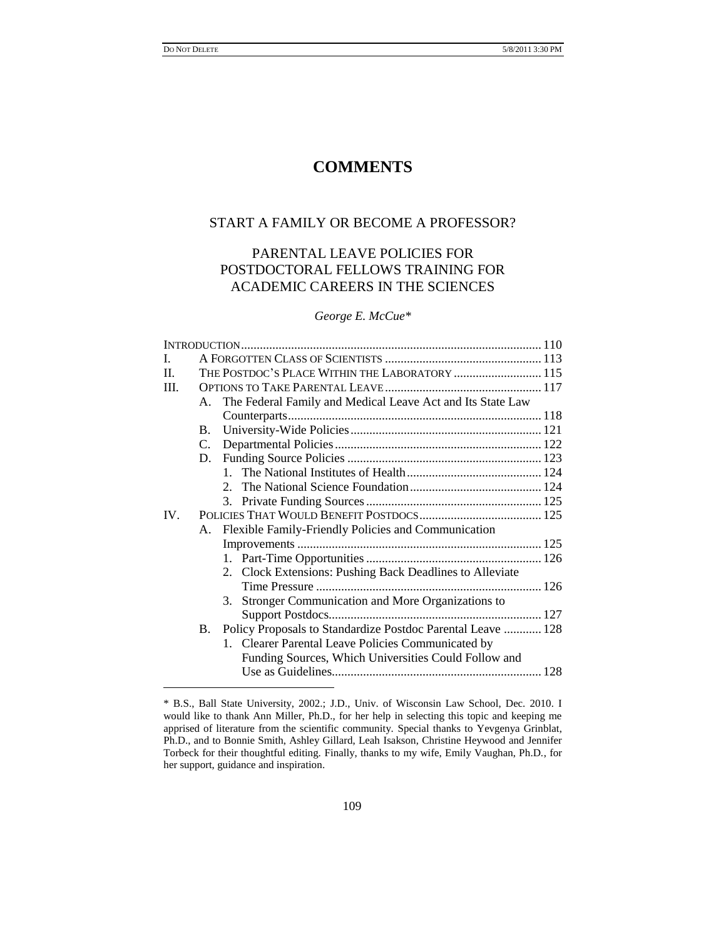$\overline{\phantom{a}}$ 

# **COMMENTS**

# START A FAMILY OR BECOME A PROFESSOR?

# PARENTAL LEAVE POLICIES FOR POSTDOCTORAL FELLOWS TRAINING FOR ACADEMIC CAREERS IN THE SCIENCES

# *George E. McCue\**

| L.   |           |                                                               |  |
|------|-----------|---------------------------------------------------------------|--|
| II.  |           | THE POSTDOC'S PLACE WITHIN THE LABORATORY  115                |  |
| III. |           |                                                               |  |
|      |           | A. The Federal Family and Medical Leave Act and Its State Law |  |
|      |           |                                                               |  |
|      | $B_{-}$   |                                                               |  |
|      |           |                                                               |  |
|      |           |                                                               |  |
|      |           |                                                               |  |
|      |           |                                                               |  |
|      |           |                                                               |  |
| IV.  |           |                                                               |  |
|      |           | A. Flexible Family-Friendly Policies and Communication        |  |
|      |           |                                                               |  |
|      |           |                                                               |  |
|      |           | 2. Clock Extensions: Pushing Back Deadlines to Alleviate      |  |
|      |           |                                                               |  |
|      |           | 3. Stronger Communication and More Organizations to           |  |
|      |           |                                                               |  |
|      | <b>B.</b> | Policy Proposals to Standardize Postdoc Parental Leave  128   |  |
|      |           | 1. Clearer Parental Leave Policies Communicated by            |  |
|      |           | Funding Sources, Which Universities Could Follow and          |  |
|      |           |                                                               |  |
|      |           |                                                               |  |

<sup>\*</sup> B.S., Ball State University, 2002.; J.D., Univ. of Wisconsin Law School, Dec. 2010. I would like to thank Ann Miller, Ph.D., for her help in selecting this topic and keeping me apprised of literature from the scientific community. Special thanks to Yevgenya Grinblat, Ph.D., and to Bonnie Smith, Ashley Gillard, Leah Isakson, Christine Heywood and Jennifer Torbeck for their thoughtful editing. Finally, thanks to my wife, Emily Vaughan, Ph.D., for her support, guidance and inspiration.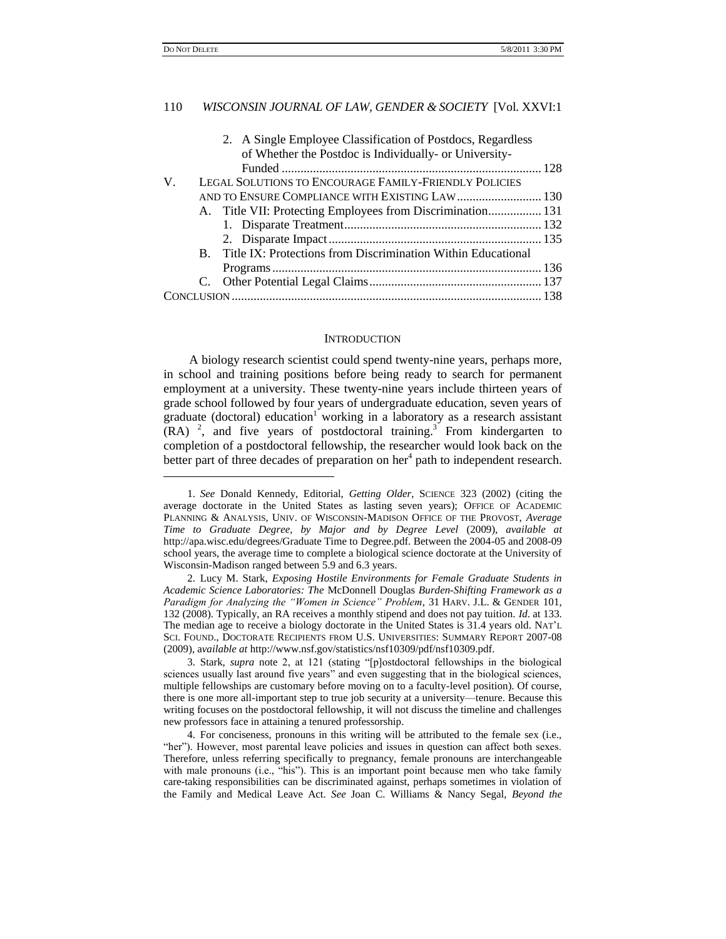$\overline{\phantom{a}}$ 

### 110 *WISCONSIN JOURNAL OF LAW, GENDER & SOCIETY* [Vol. XXVI:1

| 2. A Single Employee Classification of Postdocs, Regardless     |  |  |
|-----------------------------------------------------------------|--|--|
| of Whether the Postdoc is Individually- or University-          |  |  |
|                                                                 |  |  |
| LEGAL SOLUTIONS TO ENCOURAGE FAMILY-FRIENDLY POLICIES           |  |  |
| AND TO ENSURE COMPLIANCE WITH EXISTING LAW 130                  |  |  |
| A. Title VII: Protecting Employees from Discrimination 131      |  |  |
|                                                                 |  |  |
|                                                                 |  |  |
| B. Title IX: Protections from Discrimination Within Educational |  |  |
|                                                                 |  |  |
|                                                                 |  |  |
|                                                                 |  |  |
|                                                                 |  |  |

### **INTRODUCTION**

A biology research scientist could spend twenty-nine years, perhaps more, in school and training positions before being ready to search for permanent employment at a university. These twenty-nine years include thirteen years of grade school followed by four years of undergraduate education, seven years of graduate (doctoral) education<sup>1</sup> working in a laboratory as a research assistant  $(RA)$ <sup>2</sup>, and five years of postdoctoral training.<sup>3</sup> From kindergarten to completion of a postdoctoral fellowship, the researcher would look back on the better part of three decades of preparation on her<sup>4</sup> path to independent research.

<sup>1.</sup> *See* Donald Kennedy, Editorial, *Getting Older*, SCIENCE 323 (2002) (citing the average doctorate in the United States as lasting seven years); OFFICE OF ACADEMIC PLANNING & ANALYSIS, UNIV. OF WISCONSIN-MADISON OFFICE OF THE PROVOST, *Average Time to Graduate Degree, by Major and by Degree Level* (2009), *available at* http://apa.wisc.edu/degrees/Graduate Time to Degree.pdf. Between the 2004-05 and 2008-09 school years, the average time to complete a biological science doctorate at the University of Wisconsin-Madison ranged between 5.9 and 6.3 years.

<sup>2.</sup> Lucy M. Stark, *Exposing Hostile Environments for Female Graduate Students in Academic Science Laboratories: The* McDonnell Douglas *Burden-Shifting Framework as a Paradigm for Analyzing the "Women in Science" Problem*, 31 HARV. J.L. & GENDER 101, 132 (2008). Typically, an RA receives a monthly stipend and does not pay tuition. *Id*. at 133. The median age to receive a biology doctorate in the United States is 31.4 years old. NAT"L SCI. FOUND., DOCTORATE RECIPIENTS FROM U.S. UNIVERSITIES: SUMMARY REPORT 2007-08 (2009), a*vailable at* http://www.nsf.gov/statistics/nsf10309/pdf/nsf10309.pdf.

<sup>3.</sup> Stark*, supra* note 2, at 121 (stating "[p]ostdoctoral fellowships in the biological sciences usually last around five years" and even suggesting that in the biological sciences, multiple fellowships are customary before moving on to a faculty-level position). Of course, there is one more all-important step to true job security at a university—tenure. Because this writing focuses on the postdoctoral fellowship, it will not discuss the timeline and challenges new professors face in attaining a tenured professorship.

<sup>4.</sup> For conciseness, pronouns in this writing will be attributed to the female sex (i.e., "her"). However, most parental leave policies and issues in question can affect both sexes. Therefore, unless referring specifically to pregnancy, female pronouns are interchangeable with male pronouns (i.e., "his"). This is an important point because men who take family care-taking responsibilities can be discriminated against, perhaps sometimes in violation of the Family and Medical Leave Act. *See* Joan C. Williams & Nancy Segal, *Beyond the*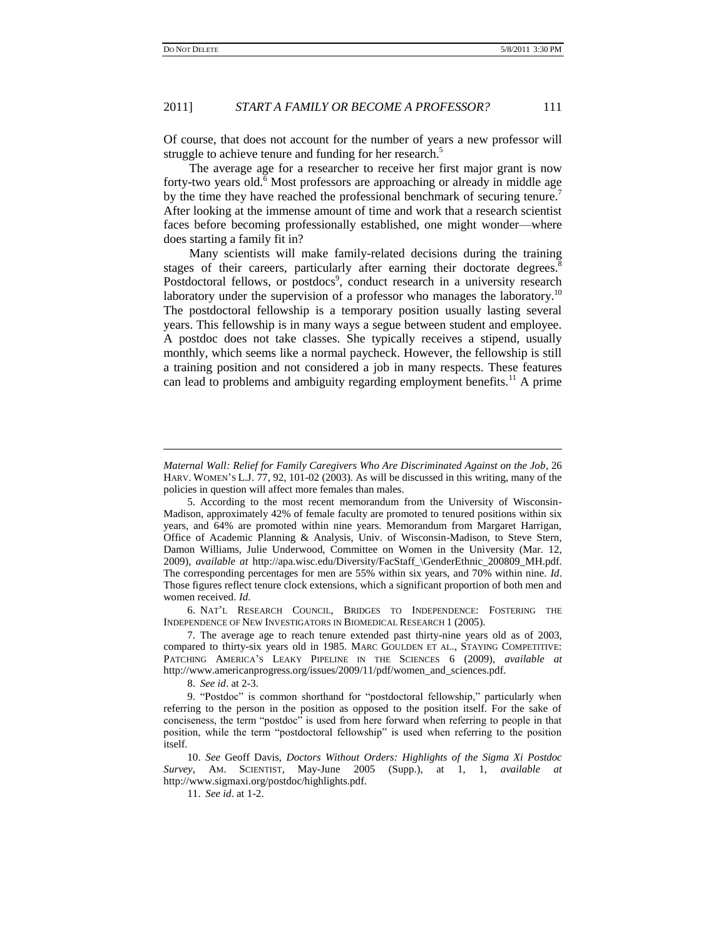$\overline{a}$ 

### 2011] *START A FAMILY OR BECOME A PROFESSOR?* 111

Of course, that does not account for the number of years a new professor will struggle to achieve tenure and funding for her research.<sup>5</sup>

The average age for a researcher to receive her first major grant is now forty-two years old.<sup>6</sup> Most professors are approaching or already in middle age by the time they have reached the professional benchmark of securing tenure.<sup>7</sup> After looking at the immense amount of time and work that a research scientist faces before becoming professionally established, one might wonder—where does starting a family fit in?

Many scientists will make family-related decisions during the training stages of their careers, particularly after earning their doctorate degrees.<sup>8</sup> Postdoctoral fellows, or postdocs<sup>9</sup>, conduct research in a university research laboratory under the supervision of a professor who manages the laboratory.<sup>10</sup> The postdoctoral fellowship is a temporary position usually lasting several years. This fellowship is in many ways a segue between student and employee. A postdoc does not take classes. She typically receives a stipend, usually monthly, which seems like a normal paycheck. However, the fellowship is still a training position and not considered a job in many respects. These features can lead to problems and ambiguity regarding employment benefits.<sup>11</sup> A prime

6. NAT"L RESEARCH COUNCIL, BRIDGES TO INDEPENDENCE: FOSTERING THE INDEPENDENCE OF NEW INVESTIGATORS IN BIOMEDICAL RESEARCH 1 (2005).

8. *See id*. at 2-3.

*Maternal Wall: Relief for Family Caregivers Who Are Discriminated Against on the Job*, 26 HARV. WOMEN'S L.J. 77, 92, 101-02 (2003). As will be discussed in this writing, many of the policies in question will affect more females than males.

<sup>5.</sup> According to the most recent memorandum from the University of Wisconsin-Madison, approximately 42% of female faculty are promoted to tenured positions within six years, and 64% are promoted within nine years. Memorandum from Margaret Harrigan, Office of Academic Planning & Analysis, Univ. of Wisconsin-Madison, to Steve Stern, Damon Williams, Julie Underwood, Committee on Women in the University (Mar. 12, 2009), *available at* http://apa.wisc.edu/Diversity/FacStaff\_\GenderEthnic\_200809\_MH.pdf. The corresponding percentages for men are 55% within six years, and 70% within nine. *Id*. Those figures reflect tenure clock extensions, which a significant proportion of both men and women received. *Id*.

<sup>7.</sup> The average age to reach tenure extended past thirty-nine years old as of 2003, compared to thirty-six years old in 1985. MARC GOULDEN ET AL., STAYING COMPETITIVE: PATCHING AMERICA"S LEAKY PIPELINE IN THE SCIENCES 6 (2009), *available at* http://www.americanprogress.org/issues/2009/11/pdf/women\_and\_sciences.pdf.

<sup>9.</sup> "Postdoc" is common shorthand for "postdoctoral fellowship," particularly when referring to the person in the position as opposed to the position itself. For the sake of conciseness, the term "postdoc" is used from here forward when referring to people in that position, while the term "postdoctoral fellowship" is used when referring to the position itself.

<sup>10.</sup> *See* Geoff Davis, *Doctors Without Orders: Highlights of the Sigma Xi Postdoc Survey*, AM. SCIENTIST, May-June 2005 (Supp.), at 1, 1, *available at* http://www.sigmaxi.org/postdoc/highlights.pdf.

<sup>11.</sup> *See id*. at 1-2.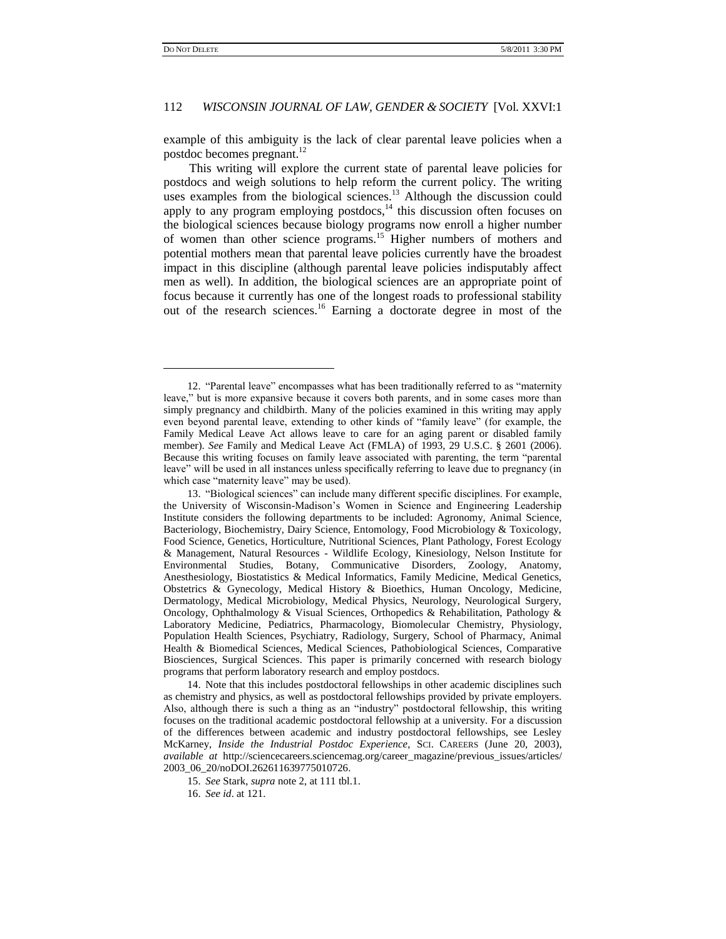$\overline{\phantom{a}}$ 

# 112 *WISCONSIN JOURNAL OF LAW, GENDER & SOCIETY* [Vol. XXVI:1

example of this ambiguity is the lack of clear parental leave policies when a postdoc becomes pregnant.<sup>12</sup>

This writing will explore the current state of parental leave policies for postdocs and weigh solutions to help reform the current policy. The writing uses examples from the biological sciences.<sup>13</sup> Although the discussion could apply to any program employing postdocs, $14$  this discussion often focuses on the biological sciences because biology programs now enroll a higher number of women than other science programs.<sup>15</sup> Higher numbers of mothers and potential mothers mean that parental leave policies currently have the broadest impact in this discipline (although parental leave policies indisputably affect men as well). In addition, the biological sciences are an appropriate point of focus because it currently has one of the longest roads to professional stability out of the research sciences.<sup>16</sup> Earning a doctorate degree in most of the

<sup>12.</sup> "Parental leave" encompasses what has been traditionally referred to as "maternity leave," but is more expansive because it covers both parents, and in some cases more than simply pregnancy and childbirth. Many of the policies examined in this writing may apply even beyond parental leave, extending to other kinds of "family leave" (for example, the Family Medical Leave Act allows leave to care for an aging parent or disabled family member). *See* Family and Medical Leave Act (FMLA) of 1993, 29 U.S.C. § 2601 (2006). Because this writing focuses on family leave associated with parenting, the term "parental leave" will be used in all instances unless specifically referring to leave due to pregnancy (in which case "maternity leave" may be used).

<sup>13.</sup> "Biological sciences" can include many different specific disciplines. For example, the University of Wisconsin-Madison"s Women in Science and Engineering Leadership Institute considers the following departments to be included: Agronomy, Animal Science, Bacteriology, Biochemistry, Dairy Science, Entomology, Food Microbiology & Toxicology, Food Science, Genetics, Horticulture, Nutritional Sciences, Plant Pathology, Forest Ecology & Management, Natural Resources - Wildlife Ecology, Kinesiology, Nelson Institute for Environmental Studies, Botany, Communicative Disorders, Zoology, Anatomy, Anesthesiology, Biostatistics & Medical Informatics, Family Medicine, Medical Genetics, Obstetrics & Gynecology, Medical History & Bioethics, Human Oncology, Medicine, Dermatology, Medical Microbiology, Medical Physics, Neurology, Neurological Surgery, Oncology, Ophthalmology & Visual Sciences, Orthopedics & Rehabilitation, Pathology & Laboratory Medicine, Pediatrics, Pharmacology, Biomolecular Chemistry, Physiology, Population Health Sciences, Psychiatry, Radiology, Surgery, School of Pharmacy, Animal Health & Biomedical Sciences, Medical Sciences, Pathobiological Sciences, Comparative Biosciences, Surgical Sciences. This paper is primarily concerned with research biology programs that perform laboratory research and employ postdocs.

<sup>14.</sup> Note that this includes postdoctoral fellowships in other academic disciplines such as chemistry and physics, as well as postdoctoral fellowships provided by private employers. Also, although there is such a thing as an "industry" postdoctoral fellowship, this writing focuses on the traditional academic postdoctoral fellowship at a university. For a discussion of the differences between academic and industry postdoctoral fellowships, see Lesley McKarney, *Inside the Industrial Postdoc Experience*, SCI. CAREERS (June 20, 2003), *available at* http://sciencecareers.sciencemag.org/career\_magazine/previous\_issues/articles/ 2003\_06\_20/noDOI.262611639775010726.

<sup>15.</sup> *See* Stark, *supra* note 2, at 111 tbl.1.

<sup>16.</sup> *See id*. at 121.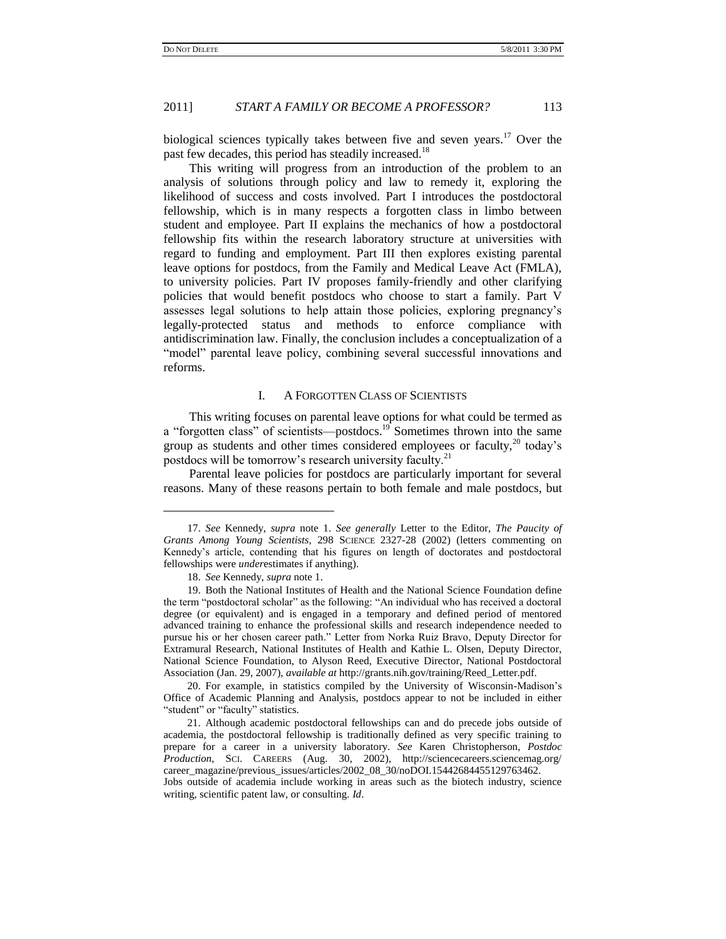biological sciences typically takes between five and seven years.<sup>17</sup> Over the past few decades, this period has steadily increased.<sup>18</sup>

This writing will progress from an introduction of the problem to an analysis of solutions through policy and law to remedy it, exploring the likelihood of success and costs involved. Part I introduces the postdoctoral fellowship, which is in many respects a forgotten class in limbo between student and employee. Part II explains the mechanics of how a postdoctoral fellowship fits within the research laboratory structure at universities with regard to funding and employment. Part III then explores existing parental leave options for postdocs, from the Family and Medical Leave Act (FMLA), to university policies. Part IV proposes family-friendly and other clarifying policies that would benefit postdocs who choose to start a family. Part V assesses legal solutions to help attain those policies, exploring pregnancy"s legally-protected status and methods to enforce compliance with antidiscrimination law. Finally, the conclusion includes a conceptualization of a "model" parental leave policy, combining several successful innovations and reforms.

### I. A FORGOTTEN CLASS OF SCIENTISTS

This writing focuses on parental leave options for what could be termed as a "forgotten class" of scientists—postdocs.<sup>19</sup> Sometimes thrown into the same group as students and other times considered employees or faculty, $^{20}$  today's postdocs will be tomorrow's research university faculty.<sup>21</sup>

Parental leave policies for postdocs are particularly important for several reasons. Many of these reasons pertain to both female and male postdocs, but

 $\overline{\phantom{a}}$ 

<sup>17.</sup> *See* Kennedy, *supra* note 1. *See generally* Letter to the Editor, *The Paucity of Grants Among Young Scientists*, 298 SCIENCE 2327-28 (2002) (letters commenting on Kennedy"s article, contending that his figures on length of doctorates and postdoctoral fellowships were *under*estimates if anything).

<sup>18.</sup> *See* Kennedy, *supra* note 1.

<sup>19.</sup> Both the National Institutes of Health and the National Science Foundation define the term "postdoctoral scholar" as the following: "An individual who has received a doctoral degree (or equivalent) and is engaged in a temporary and defined period of mentored advanced training to enhance the professional skills and research independence needed to pursue his or her chosen career path." Letter from Norka Ruiz Bravo, Deputy Director for Extramural Research, National Institutes of Health and Kathie L. Olsen, Deputy Director, National Science Foundation, to Alyson Reed, Executive Director, National Postdoctoral Association (Jan. 29, 2007), *available at* http://grants.nih.gov/training/Reed\_Letter.pdf.

<sup>20.</sup> For example, in statistics compiled by the University of Wisconsin-Madison"s Office of Academic Planning and Analysis, postdocs appear to not be included in either "student" or "faculty" statistics.

<sup>21.</sup> Although academic postdoctoral fellowships can and do precede jobs outside of academia, the postdoctoral fellowship is traditionally defined as very specific training to prepare for a career in a university laboratory. *See* Karen Christopherson, *Postdoc Production*, SCI. CAREERS (Aug. 30, 2002), http://sciencecareers.sciencemag.org/ career\_magazine/previous\_issues/articles/2002\_08\_30/noDOI.15442684455129763462. Jobs outside of academia include working in areas such as the biotech industry, science

writing, scientific patent law, or consulting. *Id*.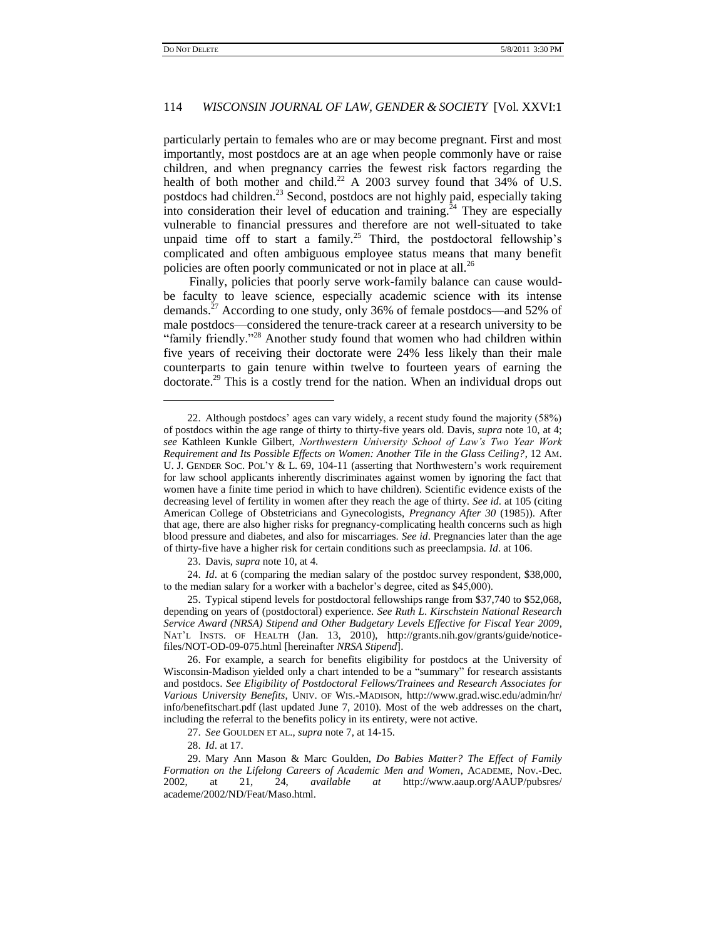$\overline{\phantom{a}}$ 

# 114 *WISCONSIN JOURNAL OF LAW, GENDER & SOCIETY* [Vol. XXVI:1

particularly pertain to females who are or may become pregnant. First and most importantly, most postdocs are at an age when people commonly have or raise children, and when pregnancy carries the fewest risk factors regarding the health of both mother and child.<sup>22</sup> A 2003 survey found that 34% of U.S. postdocs had children.<sup>23</sup> Second, postdocs are not highly paid, especially taking into consideration their level of education and training.<sup>24</sup> They are especially vulnerable to financial pressures and therefore are not well-situated to take unpaid time off to start a family.<sup>25</sup> Third, the postdoctoral fellowship's complicated and often ambiguous employee status means that many benefit policies are often poorly communicated or not in place at all.<sup>26</sup>

Finally, policies that poorly serve work-family balance can cause wouldbe faculty to leave science, especially academic science with its intense demands.<sup>27</sup> According to one study, only 36% of female postdocs—and 52% of male postdocs—considered the tenure-track career at a research university to be "family friendly."<sup>28</sup> Another study found that women who had children within five years of receiving their doctorate were 24% less likely than their male counterparts to gain tenure within twelve to fourteen years of earning the doctorate.<sup>29</sup> This is a costly trend for the nation. When an individual drops out

23. Davis, *supra* note 10, at 4.

24. *Id*. at 6 (comparing the median salary of the postdoc survey respondent, \$38,000, to the median salary for a worker with a bachelor's degree, cited as \$45,000).

25. Typical stipend levels for postdoctoral fellowships range from \$37,740 to \$52,068, depending on years of (postdoctoral) experience. *See Ruth L*. *Kirschstein National Research Service Award (NRSA) Stipend and Other Budgetary Levels Effective for Fiscal Year 2009*, NAT"L INSTS. OF HEALTH (Jan. 13, 2010), http://grants.nih.gov/grants/guide/noticefiles/NOT-OD-09-075.html [hereinafter *NRSA Stipend*].

26. For example, a search for benefits eligibility for postdocs at the University of Wisconsin-Madison yielded only a chart intended to be a "summary" for research assistants and postdocs. *See Eligibility of Postdoctoral Fellows/Trainees and Research Associates for Various University Benefits*, UNIV. OF WIS.-MADISON, http://www.grad.wisc.edu/admin/hr/ info/benefitschart.pdf (last updated June 7, 2010). Most of the web addresses on the chart, including the referral to the benefits policy in its entirety, were not active.

<sup>22.</sup> Although postdocs" ages can vary widely, a recent study found the majority (58%) of postdocs within the age range of thirty to thirty-five years old. Davis, *supra* note 10, at 4; *see* Kathleen Kunkle Gilbert, *Northwestern University School of Law's Two Year Work Requirement and Its Possible Effects on Women: Another Tile in the Glass Ceiling?*, 12 AM. U. J. GENDER SOC. POL'Y & L. 69, 104-11 (asserting that Northwestern's work requirement for law school applicants inherently discriminates against women by ignoring the fact that women have a finite time period in which to have children). Scientific evidence exists of the decreasing level of fertility in women after they reach the age of thirty. *See id*. at 105 (citing American College of Obstetricians and Gynecologists, *Pregnancy After 30* (1985)). After that age, there are also higher risks for pregnancy-complicating health concerns such as high blood pressure and diabetes, and also for miscarriages. *See id*. Pregnancies later than the age of thirty-five have a higher risk for certain conditions such as preeclampsia. *Id*. at 106.

<sup>27.</sup> *See* GOULDEN ET AL., *supra* note 7, at 14-15.

<sup>28.</sup> *Id*. at 17.

<sup>29.</sup> Mary Ann Mason & Marc Goulden, *Do Babies Matter? The Effect of Family Formation on the Lifelong Careers of Academic Men and Women*, ACADEME, Nov.-Dec. 2002, at 21, 24, *available at* http://www.aaup.org/AAUP/pubsres/ academe/2002/ND/Feat/Maso.html.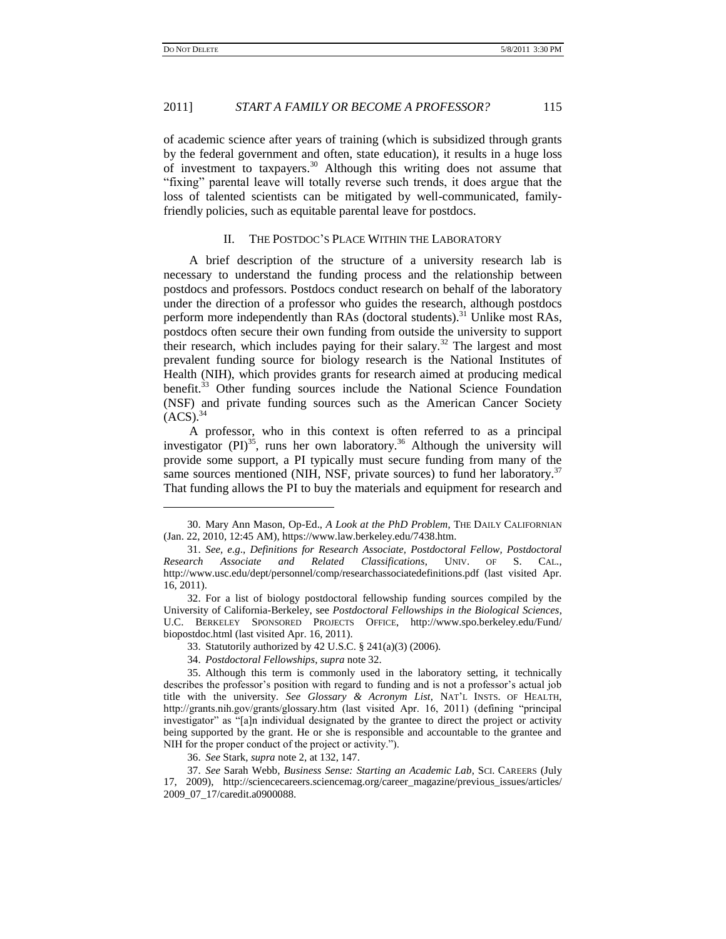$\overline{\phantom{a}}$ 

### 2011] *START A FAMILY OR BECOME A PROFESSOR?* 115

of academic science after years of training (which is subsidized through grants by the federal government and often, state education), it results in a huge loss of investment to taxpayers.<sup>30</sup> Although this writing does not assume that "fixing" parental leave will totally reverse such trends, it does argue that the loss of talented scientists can be mitigated by well-communicated, familyfriendly policies, such as equitable parental leave for postdocs.

# II. THE POSTDOC"S PLACE WITHIN THE LABORATORY

A brief description of the structure of a university research lab is necessary to understand the funding process and the relationship between postdocs and professors. Postdocs conduct research on behalf of the laboratory under the direction of a professor who guides the research, although postdocs perform more independently than RAs (doctoral students).<sup>31</sup> Unlike most RAs, postdocs often secure their own funding from outside the university to support their research, which includes paying for their salary.<sup>32</sup> The largest and most prevalent funding source for biology research is the National Institutes of Health (NIH), which provides grants for research aimed at producing medical benefit.<sup>33</sup> Other funding sources include the National Science Foundation (NSF) and private funding sources such as the American Cancer Society  $(ACS).$ <sup>34</sup>

A professor, who in this context is often referred to as a principal investigator  $(PI)^{35}$ , runs her own laboratory.<sup>36</sup> Although the university will provide some support, a PI typically must secure funding from many of the same sources mentioned (NIH, NSF, private sources) to fund her laboratory.<sup>37</sup> That funding allows the PI to buy the materials and equipment for research and

<sup>30.</sup> Mary Ann Mason, Op-Ed., *A Look at the PhD Problem*, THE DAILY CALIFORNIAN (Jan. 22, 2010, 12:45 AM), https://www.law.berkeley.edu/7438.htm.

<sup>31.</sup> *See, e*.*g*., *Definitions for Research Associate, Postdoctoral Fellow, Postdoctoral Research Associate and Related Classifications*, UNIV. OF S. CAL., http://www.usc.edu/dept/personnel/comp/researchassociatedefinitions.pdf (last visited Apr.  $16, 2011$ ).

<sup>32.</sup> For a list of biology postdoctoral fellowship funding sources compiled by the University of California-Berkeley, see *Postdoctoral Fellowships in the Biological Sciences*, U.C. BERKELEY SPONSORED PROJECTS OFFICE, http://www.spo.berkeley.edu/Fund/ biopostdoc.html (last visited Apr. 16, 2011).

<sup>33.</sup> Statutorily authorized by 42 U.S.C. § 241(a)(3) (2006).

<sup>34.</sup> *Postdoctoral Fellowships*, *supra* note 32.

<sup>35.</sup> Although this term is commonly used in the laboratory setting, it technically describes the professor"s position with regard to funding and is not a professor"s actual job title with the university. *See Glossary & Acronym List*, NAT"L INSTS. OF HEALTH, http://grants.nih.gov/grants/glossary.htm (last visited Apr. 16, 2011) (defining "principal investigator" as "[a]n individual designated by the grantee to direct the project or activity being supported by the grant. He or she is responsible and accountable to the grantee and NIH for the proper conduct of the project or activity.").

<sup>36.</sup> *See* Stark, *supra* note 2, at 132, 147.

<sup>37.</sup> *See* Sarah Webb, *Business Sense: Starting an Academic Lab*, SCI. CAREERS (July 17, 2009), http://sciencecareers.sciencemag.org/career\_magazine/previous\_issues/articles/ 2009\_07\_17/caredit.a0900088.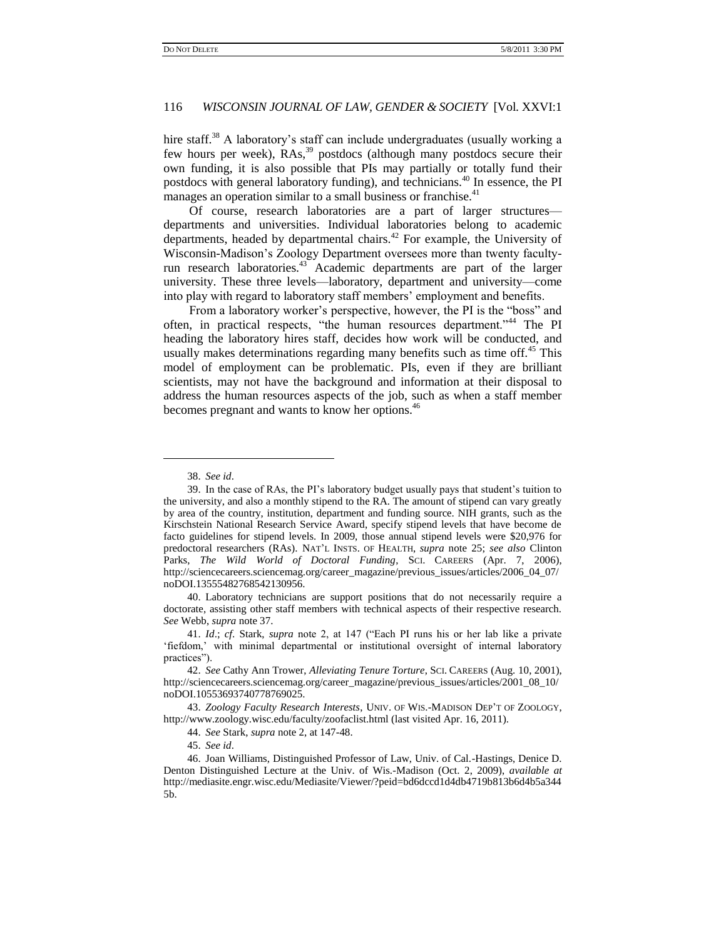hire staff.<sup>38</sup> A laboratory's staff can include undergraduates (usually working a few hours per week),  $RAs$ ,<sup>39</sup> postdocs (although many postdocs secure their own funding, it is also possible that PIs may partially or totally fund their postdocs with general laboratory funding), and technicians.<sup>40</sup> In essence, the PI manages an operation similar to a small business or franchise.<sup>41</sup>

Of course, research laboratories are a part of larger structures departments and universities. Individual laboratories belong to academic departments, headed by departmental chairs.<sup>42</sup> For example, the University of Wisconsin-Madison"s Zoology Department oversees more than twenty facultyrun research laboratories.<sup>43</sup> Academic departments are part of the larger university. These three levels—laboratory, department and university—come into play with regard to laboratory staff members" employment and benefits.

From a laboratory worker's perspective, however, the PI is the "boss" and often, in practical respects, "the human resources department."<sup>44</sup> The PI heading the laboratory hires staff, decides how work will be conducted, and usually makes determinations regarding many benefits such as time off.<sup>45</sup> This model of employment can be problematic. PIs, even if they are brilliant scientists, may not have the background and information at their disposal to address the human resources aspects of the job, such as when a staff member becomes pregnant and wants to know her options.<sup>46</sup>

 $\overline{\phantom{a}}$ 

40. Laboratory technicians are support positions that do not necessarily require a doctorate, assisting other staff members with technical aspects of their respective research. *See* Webb, *supra* note 37.

43. *Zoology Faculty Research Interests*, UNIV. OF WIS.-MADISON DEP"T OF ZOOLOGY, http://www.zoology.wisc.edu/faculty/zoofaclist.html (last visited Apr. 16, 2011).

44. *See* Stark, *supra* note 2, at 147-48.

45. *See id*.

<sup>38.</sup> *See id*.

<sup>39.</sup> In the case of RAs, the PI"s laboratory budget usually pays that student"s tuition to the university, and also a monthly stipend to the RA. The amount of stipend can vary greatly by area of the country, institution, department and funding source. NIH grants, such as the Kirschstein National Research Service Award, specify stipend levels that have become de facto guidelines for stipend levels. In 2009, those annual stipend levels were \$20,976 for predoctoral researchers (RAs). NAT"L INSTS. OF HEALTH, *supra* note 25; *see also* Clinton Parks, *The Wild World of Doctoral Funding*, SCI. CAREERS (Apr. 7, 2006), http://sciencecareers.sciencemag.org/career\_magazine/previous\_issues/articles/2006\_04\_07/ noDOI.13555482768542130956.

<sup>41.</sup> *Id*.; *cf*. Stark, *supra* note 2, at 147 ("Each PI runs his or her lab like a private 'fiefdom,' with minimal departmental or institutional oversight of internal laboratory practices").

<sup>42.</sup> *See* Cathy Ann Trower, *Alleviating Tenure Torture*, SCI. CAREERS (Aug. 10, 2001), http://sciencecareers.sciencemag.org/career\_magazine/previous\_issues/articles/2001\_08\_10/ noDOI.10553693740778769025.

<sup>46.</sup> Joan Williams, Distinguished Professor of Law, Univ. of Cal.-Hastings, Denice D. Denton Distinguished Lecture at the Univ. of Wis.-Madison (Oct. 2, 2009), *available at* http://mediasite.engr.wisc.edu/Mediasite/Viewer/?peid=bd6dccd1d4db4719b813b6d4b5a344 5b.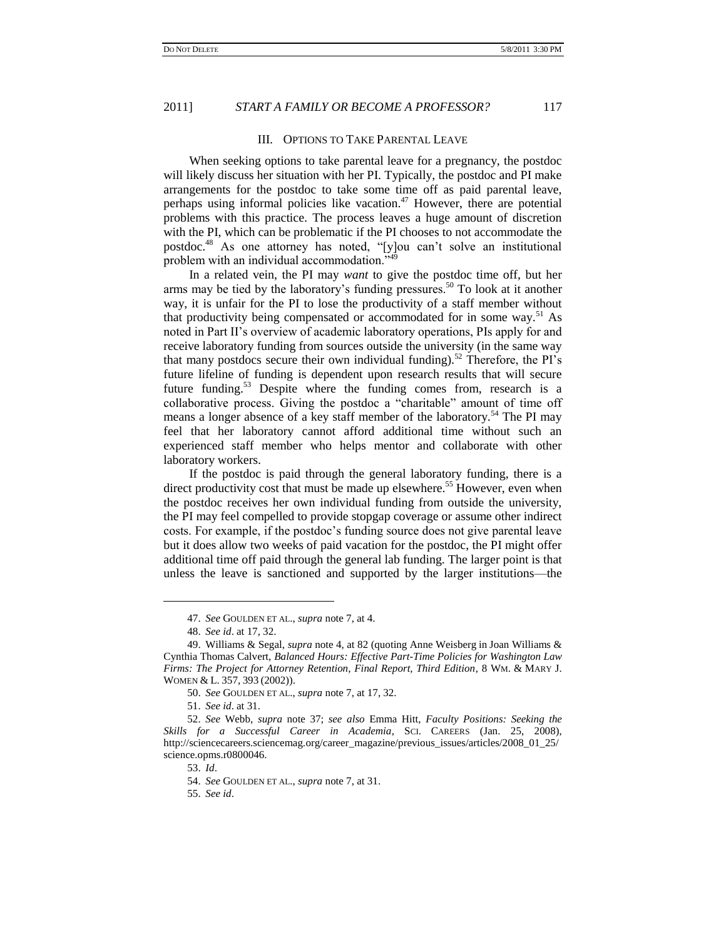#### III. OPTIONS TO TAKE PARENTAL LEAVE

When seeking options to take parental leave for a pregnancy, the postdoc will likely discuss her situation with her PI. Typically, the postdoc and PI make arrangements for the postdoc to take some time off as paid parental leave, perhaps using informal policies like vacation.<sup>47</sup> However, there are potential problems with this practice. The process leaves a huge amount of discretion with the PI, which can be problematic if the PI chooses to not accommodate the postdoc.<sup>48</sup> As one attorney has noted, "[y]ou can"t solve an institutional problem with an individual accommodation."<sup>49</sup>

In a related vein, the PI may *want* to give the postdoc time off, but her arms may be tied by the laboratory's funding pressures.<sup>50</sup> To look at it another way, it is unfair for the PI to lose the productivity of a staff member without that productivity being compensated or accommodated for in some way.<sup>51</sup> As noted in Part II"s overview of academic laboratory operations, PIs apply for and receive laboratory funding from sources outside the university (in the same way that many postdocs secure their own individual funding).<sup>52</sup> Therefore, the PI's future lifeline of funding is dependent upon research results that will secure future funding.<sup>53</sup> Despite where the funding comes from, research is a collaborative process. Giving the postdoc a "charitable" amount of time off means a longer absence of a key staff member of the laboratory.<sup>54</sup> The PI may feel that her laboratory cannot afford additional time without such an experienced staff member who helps mentor and collaborate with other laboratory workers.

If the postdoc is paid through the general laboratory funding, there is a direct productivity cost that must be made up elsewhere.<sup>55</sup> However, even when the postdoc receives her own individual funding from outside the university, the PI may feel compelled to provide stopgap coverage or assume other indirect costs. For example, if the postdoc"s funding source does not give parental leave but it does allow two weeks of paid vacation for the postdoc, the PI might offer additional time off paid through the general lab funding. The larger point is that unless the leave is sanctioned and supported by the larger institutions—the

 $\overline{\phantom{a}}$ 

<sup>47.</sup> *See* GOULDEN ET AL., *supra* note 7, at 4.

<sup>48.</sup> *See id*. at 17, 32.

<sup>49.</sup> Williams & Segal, *supra* note 4, at 82 (quoting Anne Weisberg in Joan Williams & Cynthia Thomas Calvert, *Balanced Hours: Effective Part-Time Policies for Washington Law Firms: The Project for Attorney Retention, Final Report, Third Edition*, 8 WM. & MARY J. WOMEN & L. 357, 393 (2002)).

<sup>50.</sup> *See* GOULDEN ET AL., *supra* note 7, at 17, 32.

<sup>51.</sup> *See id*. at 31.

<sup>52.</sup> *See* Webb, *supra* note 37; *see also* Emma Hitt, *Faculty Positions: Seeking the Skills for a Successful Career in Academia*, SCI. CAREERS (Jan. 25, 2008), http://sciencecareers.sciencemag.org/career\_magazine/previous\_issues/articles/2008\_01\_25/ science.opms.r0800046.

<sup>53.</sup> *Id*.

<sup>54.</sup> *See* GOULDEN ET AL., *supra* note 7, at 31.

<sup>55.</sup> *See id*.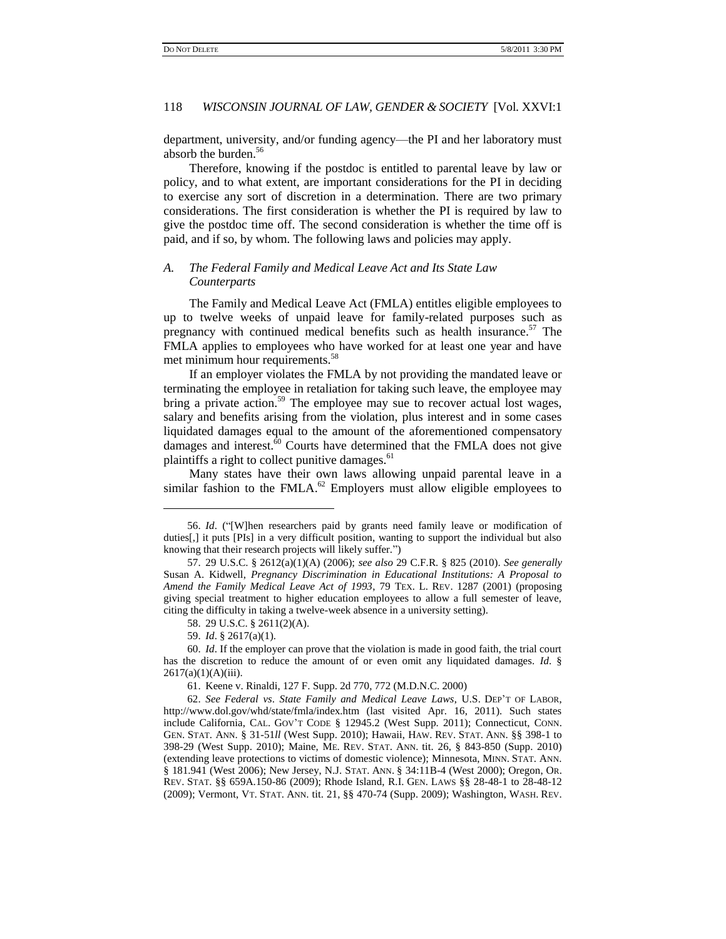department, university, and/or funding agency—the PI and her laboratory must absorb the burden.<sup>56</sup>

Therefore, knowing if the postdoc is entitled to parental leave by law or policy, and to what extent, are important considerations for the PI in deciding to exercise any sort of discretion in a determination. There are two primary considerations. The first consideration is whether the PI is required by law to give the postdoc time off. The second consideration is whether the time off is paid, and if so, by whom. The following laws and policies may apply.

# *A. The Federal Family and Medical Leave Act and Its State Law Counterparts*

The Family and Medical Leave Act (FMLA) entitles eligible employees to up to twelve weeks of unpaid leave for family-related purposes such as pregnancy with continued medical benefits such as health insurance.<sup>57</sup> The FMLA applies to employees who have worked for at least one year and have met minimum hour requirements.<sup>58</sup>

If an employer violates the FMLA by not providing the mandated leave or terminating the employee in retaliation for taking such leave, the employee may bring a private action.<sup>59</sup> The employee may sue to recover actual lost wages, salary and benefits arising from the violation, plus interest and in some cases liquidated damages equal to the amount of the aforementioned compensatory damages and interest.<sup>60</sup> Courts have determined that the FMLA does not give plaintiffs a right to collect punitive damages.<sup>61</sup>

Many states have their own laws allowing unpaid parental leave in a similar fashion to the FMLA. $^{62}$  Employers must allow eligible employees to

 $\overline{\phantom{a}}$ 

61. Keene v. Rinaldi, [127 F. Supp. 2d 770, 772 \(M.D.N.C. 2000\)](http://www.lexis.com/research/buttonTFLink?_m=49edb4ae7f720a27f71a43b04e28a142&_xfercite=%3ccite%20cc%3d%22USA%22%3e%3c%21%5bCDATA%5b2001%20U.S.%20Dist.%20LEXIS%2025683%5d%5d%3e%3c%2fcite%3e&_butType=3&_butStat=2&_butNum=95&_butInline=1&_butinfo=%3ccite%20cc%3d%22USA%22%3e%3c%21%5bCDATA%5b127%20F.%20Supp.%202d%20770%5d%5d%3e%3c%2fcite%3e&_fmtstr=FULL&docnum=1&_startdoc=1&wchp=dGLbVtz-zSkAb&_md5=9460edfc90558ed767f1b7068755076f)

<sup>56.</sup> *Id*. ("[W]hen researchers paid by grants need family leave or modification of duties[,] it puts [PIs] in a very difficult position, wanting to support the individual but also knowing that their research projects will likely suffer.")

<sup>57.</sup> 29 U.S.C. § 2612(a)(1)(A) (2006); *see also* 29 C.F.R. § 825 (2010). *See generally* Susan A. Kidwell, *Pregnancy Discrimination in Educational Institutions: A Proposal to Amend the Family Medical Leave Act of 1993*, 79 TEX. L. REV. 1287 (2001) (proposing giving special treatment to higher education employees to allow a full semester of leave, citing the difficulty in taking a twelve-week absence in a university setting).

<sup>58.</sup> 29 U.S.C. § 2611(2)(A).

<sup>59.</sup> *Id*. § 2617(a)(1).

<sup>60.</sup> *Id*. If the employer can prove that the violation is made in good faith, the trial court has the discretion to reduce the amount of or even omit any liquidated damages. *Id*. §  $2617(a)(1)(A)(iii)$ .

<sup>62.</sup> *See Federal vs*. *State Family and Medical Leave Laws*, U.S. DEP"T OF LABOR, http://www.dol.gov/whd/state/fmla/index.htm (last visited Apr. 16, 2011). Such states include [California,](http://www.dol.gov/cgi-bin/leave-dol.asp?exiturl=http://www.labor.ca.gov/&exitTitle=California%20State&fedpage=no) CAL. GOV"T CODE § 12945.2 (West Supp. 2011); [Connecticut,](http://www.dol.gov/cgi-bin/leave-dol.asp?exiturl=http://www.ctdol.state.ct.us/&exitTitle=Connecticut%20State&fedpage=no) CONN. GEN. STAT. ANN. § 31-51*ll* (West Supp. 2010); [Hawaii,](http://www.dol.gov/cgi-bin/leave-dol.asp?exiturl=http://hawaii.gov/labor/&exitTitle=Hawaii%20State&fedpage=no) HAW. REV. STAT. ANN. §§ 398-1 to 398-29 (West Supp. 2010); [Maine,](http://www.dol.gov/cgi-bin/leave-dol.asp?exiturl=http://www.state.me.us/labor/&exitTitle=Maine%20State&fedpage=no) ME. REV. STAT. ANN. tit. 26, § 843-850 (Supp. 2010) (extending leave protections to victims of domestic violence); [Minnesota,](http://www.dol.gov/cgi-bin/leave-dol.asp?exiturl=http://www.doli.state.mn.us/&exitTitle=Minnesota%20State&fedpage=no) MINN. STAT. ANN. § 181.941 (West 2006); [New Jersey,](http://www.dol.gov/cgi-bin/leave-dol.asp?exiturl=http://lwd.dol.state.nj.us/labor/index.shtml&exitTitle=New%20Jersey%20State&fedpage=no) N.J. STAT. ANN. § 34:11B-4 (West 2000); [Oregon,](http://www.oregon.gov/BOLI/) OR. REV. STAT. §§ 659A.150-86 (2009); [Rhode Island,](http://www.dol.gov/cgi-bin/leave-dol.asp?exiturl=http://www.dlt.state.ri.us/&exitTitle=Rhode%20Island%20State&fedpage=no) R.I. GEN. LAWS §§ 28-48-1 to 28-48-12 (2009); [Vermont,](http://www.dol.gov/cgi-bin/leave-dol.asp?exiturl=http://www.labor.vermont.gov/&exitTitle=Vermont%20State&fedpage=no) VT. STAT. ANN. tit. 21, §§ 470-74 (Supp. 2009); [Washington,](http://www.dol.gov/cgi-bin/leave-dol.asp?exiturl=http://www.lni.wa.gov/&exitTitle=Washington%20State&fedpage=no) WASH. REV.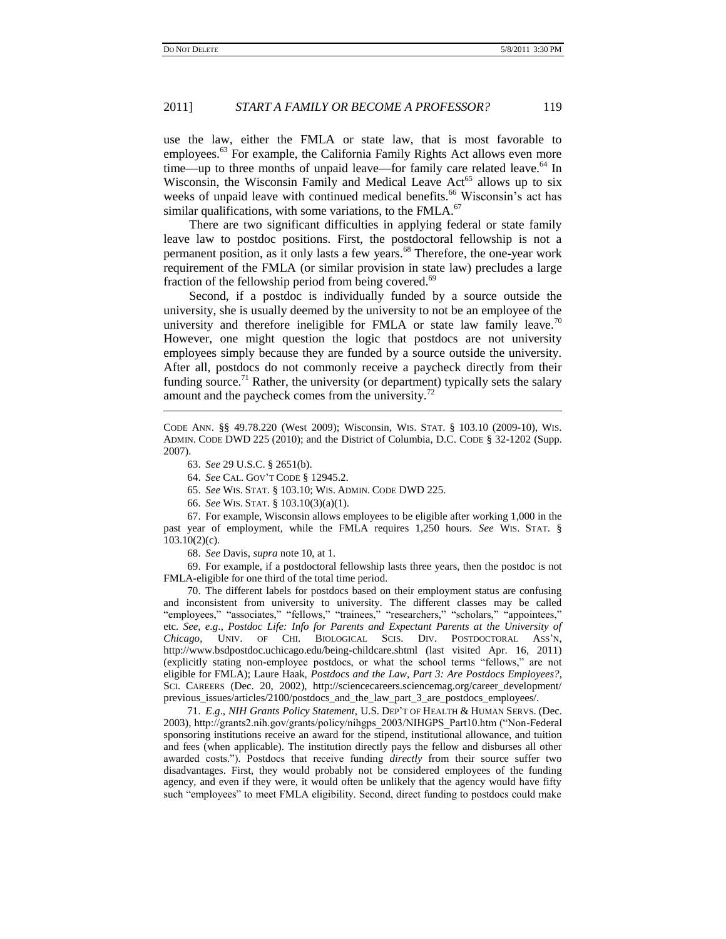use the law, either the FMLA or state law, that is most favorable to employees.<sup>63</sup> For example, the California Family Rights Act allows even more time—up to three months of unpaid leave—for family care related leave.<sup>64</sup> In Wisconsin, the Wisconsin Family and Medical Leave  $Act<sup>65</sup>$  allows up to six weeks of unpaid leave with continued medical benefits.<sup>66</sup> Wisconsin's act has similar qualifications, with some variations, to the  $FMLA<sup>67</sup>$ 

There are two significant difficulties in applying federal or state family leave law to postdoc positions. First, the postdoctoral fellowship is not a permanent position, as it only lasts a few years.<sup>68</sup> Therefore, the one-year work requirement of the FMLA (or similar provision in state law) precludes a large fraction of the fellowship period from being covered.<sup>69</sup>

Second, if a postdoc is individually funded by a source outside the university, she is usually deemed by the university to not be an employee of the university and therefore ineligible for FMLA or state law family leave.<sup>70</sup> However, one might question the logic that postdocs are not university employees simply because they are funded by a source outside the university. After all, postdocs do not commonly receive a paycheck directly from their funding source.<sup>71</sup> Rather, the university (or department) typically sets the salary amount and the paycheck comes from the university. $^{72}$ 

CODE ANN. §§ 49.78.220 (West 2009); [Wisconsin,](http://www.dwd.state.wi.us/) WIS. STAT. § 103.10 (2009-10), WIS. ADMIN. CODE DWD 225 (2010); and th[e District of Columbia,](http://www.dol.gov/cgi-bin/leave-dol.asp?exiturl=http://www.does.dc.gov/does/site/default.asp&exitTitle=District%20of%20Columbia&fedpage=no) D.C. CODE § 32-1202 (Supp. 2007).

63. *See* 29 U.S.C. § 2651(b).

 $\overline{\phantom{a}}$ 

64. *See* CAL. GOV"T CODE § 12945.2.

65. *See* WIS. STAT. § 103.10; WIS. ADMIN. CODE DWD 225.

66. *See* WIS. STAT. § 103.10(3)(a)(1).

67. For example, Wisconsin allows employees to be eligible after working 1,000 in the past year of employment, while the FMLA requires 1,250 hours. *See* WIS. STAT. § 103.10(2)(c).

68. *See* Davis, *supra* note 10, at 1.

69. For example, if a postdoctoral fellowship lasts three years, then the postdoc is not FMLA-eligible for one third of the total time period.

70. The different labels for postdocs based on their employment status are confusing and inconsistent from university to university. The different classes may be called "employees," "associates," "fellows," "trainees," "researchers," "scholars," "appointees," etc. *See, e*.*g*., *Postdoc Life: Info for Parents and Expectant Parents at the University of Chicago*, UNIV. OF CHI. BIOLOGICAL SCIS. DIV. POSTDOCTORAL ASS"N, http://www.bsdpostdoc.uchicago.edu/being-childcare.shtml (last visited Apr. 16, 2011) (explicitly stating non-employee postdocs, or what the school terms "fellows," are not eligible for FMLA); Laure Haak, *Postdocs and the Law, Part 3: Are Postdocs Employees?*, SCI. CAREERS (Dec. 20, 2002), http://sciencecareers.sciencemag.org/career\_development/ previous\_issues/articles/2100/postdocs\_and\_the\_law\_part\_3\_are\_postdocs\_employees/.

71. *E*.*g*., *NIH Grants Policy Statement*, U.S. DEP"T OF HEALTH & HUMAN SERVS. (Dec. 2003), http://grants2.nih.gov/grants/policy/nihgps\_2003/NIHGPS\_Part10.htm ("Non-Federal sponsoring institutions receive an award for the stipend, institutional allowance, and tuition and fees (when applicable). The institution directly pays the fellow and disburses all other awarded costs."). Postdocs that receive funding *directly* from their source suffer two disadvantages. First, they would probably not be considered employees of the funding agency, and even if they were, it would often be unlikely that the agency would have fifty such "employees" to meet FMLA eligibility. Second, direct funding to postdocs could make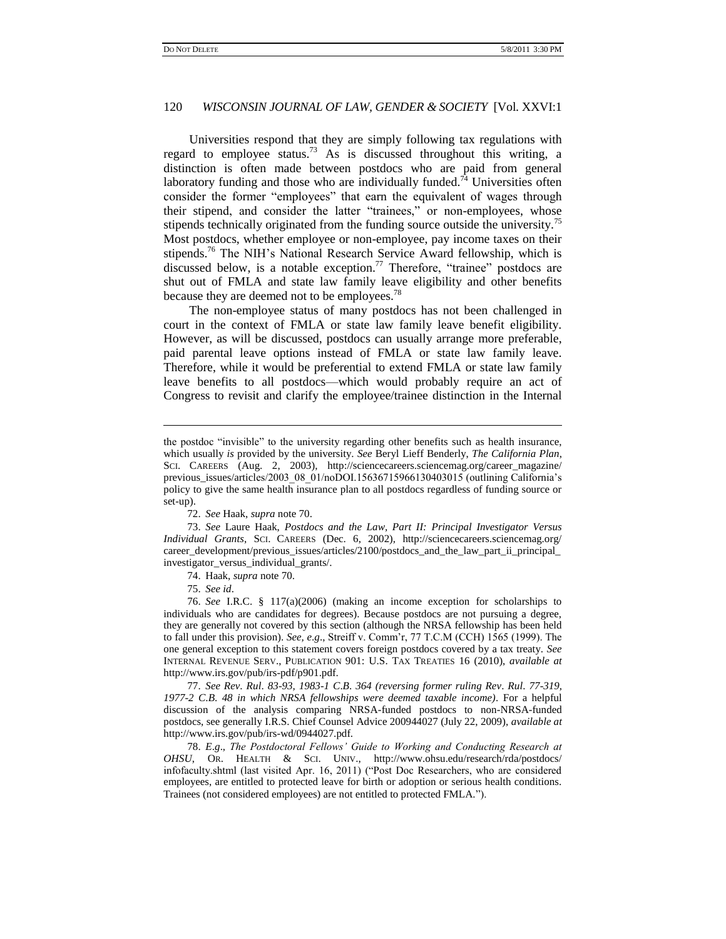Universities respond that they are simply following tax regulations with regard to employee status.<sup>73</sup> As is discussed throughout this writing, a distinction is often made between postdocs who are paid from general laboratory funding and those who are individually funded.<sup>74</sup> Universities often consider the former "employees" that earn the equivalent of wages through their stipend, and consider the latter "trainees," or non-employees, whose stipends technically originated from the funding source outside the university.<sup>75</sup> Most postdocs, whether employee or non-employee, pay income taxes on their stipends.<sup>76</sup> The NIH's National Research Service Award fellowship, which is discussed below, is a notable exception.<sup>77</sup> Therefore, "trainee" postdocs are shut out of FMLA and state law family leave eligibility and other benefits because they are deemed not to be employees.<sup>78</sup>

The non-employee status of many postdocs has not been challenged in court in the context of FMLA or state law family leave benefit eligibility. However, as will be discussed, postdocs can usually arrange more preferable, paid parental leave options instead of FMLA or state law family leave. Therefore, while it would be preferential to extend FMLA or state law family leave benefits to all postdocs—which would probably require an act of Congress to revisit and clarify the employee/trainee distinction in the Internal

73. *See* Laure Haak, *Postdocs and the Law, Part II: Principal Investigator Versus Individual Grants*, SCI. CAREERS (Dec. 6, 2002), http://sciencecareers.sciencemag.org/ career\_development/previous\_issues/articles/2100/postdocs\_and\_the\_law\_part\_ii\_principal\_ investigator\_versus\_individual\_grants/.

74. Haak, *supra* note 70.

75. *See id*.

 $\overline{\phantom{a}}$ 

76. *See* I.R.C. § 117(a)(2006) (making an income exception for scholarships to individuals who are candidates for degrees). Because postdocs are not pursuing a degree, they are generally not covered by this section (although the NRSA fellowship has been held to fall under this provision). *See, e*.*g*., Streiff v. Comm"r, 77 T.C.M (CCH) 1565 (1999). The one general exception to this statement covers foreign postdocs covered by a tax treaty. *See* INTERNAL REVENUE SERV., PUBLICATION 901: U.S. TAX TREATIES 16 (2010), *available at*  http://www.irs.gov/pub/irs-pdf/p901.pdf.

77. *See Rev*. *Rul*. *83-93, 1983-1 C*.*B*. *364 (reversing former ruling Rev*. *Rul*. *77-319, 1977-2 C*.*B*. *48 in which NRSA fellowships were deemed taxable income)*. For a helpful discussion of the analysis comparing NRSA-funded postdocs to non-NRSA-funded postdocs, see generally I.R.S. Chief Counsel Advice 200944027 (July 22, 2009), *available at* http://www.irs.gov/pub/irs-wd/0944027.pdf.

78. *E*.*g*., *The Postdoctoral Fellows' Guide to Working and Conducting Research at OHSU*, OR. HEALTH & SCI. UNIV., http://www.ohsu.edu/research/rda/postdocs/ infofaculty.shtml (last visited Apr. 16, 2011) ("Post Doc Researchers, who are considered employees, are entitled to protected leave for birth or adoption or serious health conditions. Trainees (not considered employees) are not entitled to protected FMLA.").

the postdoc "invisible" to the university regarding other benefits such as health insurance, which usually *is* provided by the university. *See* Beryl Lieff Benderly, *The California Plan*, SCI. CAREERS (Aug. 2, 2003), http://sciencecareers.sciencemag.org/career\_magazine/ previous\_issues/articles/2003\_08\_01/noDOI.15636715966130403015 (outlining California's policy to give the same health insurance plan to all postdocs regardless of funding source or set-up).

<sup>72.</sup> *See* Haak, *supra* note 70.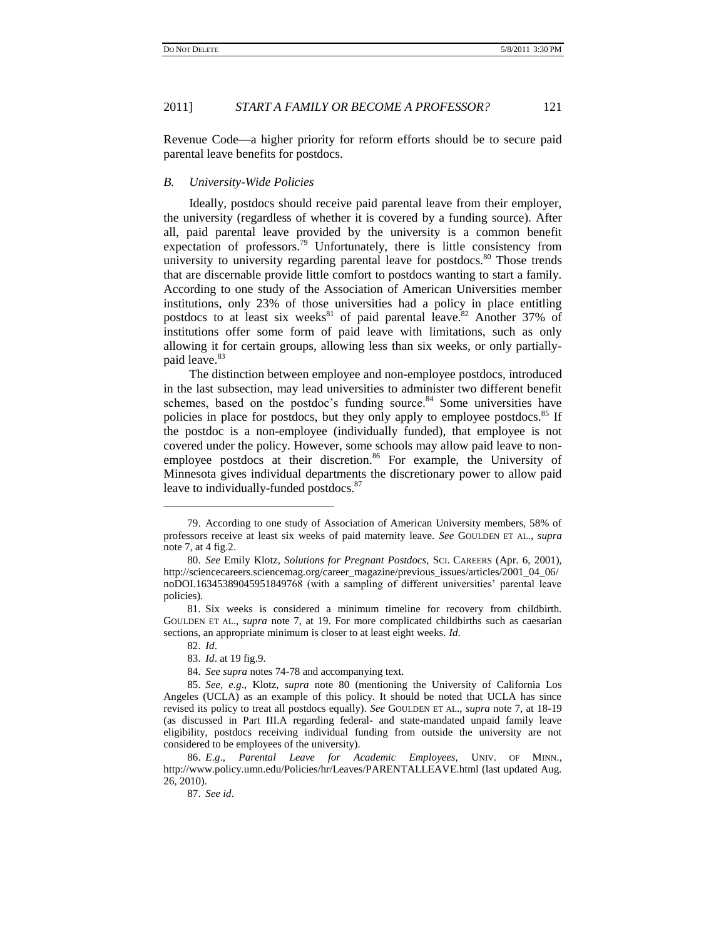Revenue Code—a higher priority for reform efforts should be to secure paid parental leave benefits for postdocs.

# *B. University-Wide Policies*

Ideally, postdocs should receive paid parental leave from their employer, the university (regardless of whether it is covered by a funding source). After all, paid parental leave provided by the university is a common benefit expectation of professors.<sup>79</sup> Unfortunately, there is little consistency from university to university regarding parental leave for postdocs.<sup>80</sup> Those trends that are discernable provide little comfort to postdocs wanting to start a family. According to one study of the Association of American Universities member institutions, only 23% of those universities had a policy in place entitling postdocs to at least six weeks<sup>81</sup> of paid parental leave.<sup>82</sup> Another 37% of institutions offer some form of paid leave with limitations, such as only allowing it for certain groups, allowing less than six weeks, or only partiallypaid leave.<sup>83</sup>

The distinction between employee and non-employee postdocs, introduced in the last subsection, may lead universities to administer two different benefit schemes, based on the postdoc's funding source. $84$  Some universities have policies in place for postdocs, but they only apply to employee postdocs.<sup>85</sup> If the postdoc is a non-employee (individually funded), that employee is not covered under the policy. However, some schools may allow paid leave to nonemployee postdocs at their discretion.<sup>86</sup> For example, the University of Minnesota gives individual departments the discretionary power to allow paid leave to individually-funded postdocs.<sup>87</sup>

<sup>79.</sup> According to one study of Association of American University members, 58% of professors receive at least six weeks of paid maternity leave. *See* GOULDEN ET AL., *supra* note 7, at 4 fig.2.

<sup>80.</sup> *See* Emily Klotz, *Solutions for Pregnant Postdocs*, SCI. CAREERS (Apr. 6, 2001), http://sciencecareers.sciencemag.org/career\_magazine/previous\_issues/articles/2001\_04\_06/ noDOI.16345389045951849768 (with a sampling of different universities" parental leave policies).

<sup>81.</sup> Six weeks is considered a minimum timeline for recovery from childbirth. GOULDEN ET AL., *supra* note 7, at 19. For more complicated childbirths such as caesarian sections, an appropriate minimum is closer to at least eight weeks. *Id*.

<sup>82.</sup> *Id*.

<sup>83.</sup> *Id*. at 19 fig.9.

<sup>84.</sup> *See supra* notes 74-78 and accompanying text.

<sup>85.</sup> *See, e*.*g*., Klotz, *supra* note 80 (mentioning the University of California Los Angeles (UCLA) as an example of this policy. It should be noted that UCLA has since revised its policy to treat all postdocs equally). *See* GOULDEN ET AL., *supra* note 7, at 18-19 (as discussed in Part III.A regarding federal- and state-mandated unpaid family leave eligibility, postdocs receiving individual funding from outside the university are not considered to be employees of the university).

<sup>86.</sup> *E*.*g*., *Parental Leave for Academic Employees*, UNIV. OF MINN., http://www.policy.umn.edu/Policies/hr/Leaves/PARENTALLEAVE.html (last updated Aug. 26, 2010).

<sup>87.</sup> *See id*.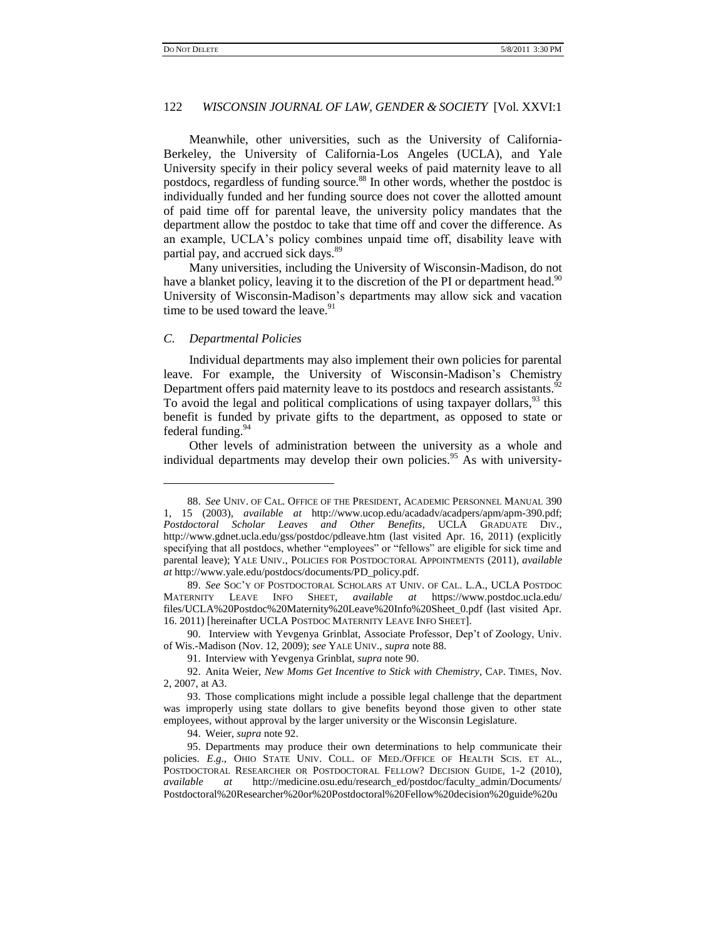Meanwhile, other universities, such as the University of California-Berkeley, the University of California-Los Angeles (UCLA), and Yale University specify in their policy several weeks of paid maternity leave to all postdocs, regardless of funding source.<sup>88</sup> In other words, whether the postdoc is individually funded and her funding source does not cover the allotted amount of paid time off for parental leave, the university policy mandates that the department allow the postdoc to take that time off and cover the difference. As an example, UCLA"s policy combines unpaid time off, disability leave with partial pay, and accrued sick days.<sup>89</sup>

Many universities, including the University of Wisconsin-Madison, do not have a blanket policy, leaving it to the discretion of the PI or department head.<sup>90</sup> University of Wisconsin-Madison"s departments may allow sick and vacation time to be used toward the leave.<sup>91</sup>

#### *C. Departmental Policies*

 $\overline{a}$ 

Individual departments may also implement their own policies for parental leave. For example, the University of Wisconsin-Madison's Chemistry Department offers paid maternity leave to its postdocs and research assistants.<sup>92</sup> To avoid the legal and political complications of using taxpayer dollars,<sup>93</sup> this benefit is funded by private gifts to the department, as opposed to state or federal funding.<sup>94</sup>

Other levels of administration between the university as a whole and individual departments may develop their own policies.<sup>95</sup> As with university-

<sup>88.</sup> *See* UNIV. OF CAL. OFFICE OF THE PRESIDENT, ACADEMIC PERSONNEL MANUAL 390 1, 15 (2003), *available at* http://www.ucop.edu/acadadv/acadpers/apm/apm-390.pdf; *Postdoctoral Scholar Leaves and Other Benefits*, UCLA GRADUATE DIV., http://www.gdnet.ucla.edu/gss/postdoc/pdleave.htm (last visited Apr. 16, 2011) (explicitly specifying that all postdocs, whether "employees" or "fellows" are eligible for sick time and parental leave); YALE UNIV., POLICIES FOR POSTDOCTORAL APPOINTMENTS (2011), *available at* http://www.yale.edu/postdocs/documents/PD\_policy.pdf.

<sup>89.</sup> *See* SOC"Y OF POSTDOCTORAL SCHOLARS AT UNIV. OF CAL. L.A., UCLA POSTDOC MATERNITY LEAVE INFO SHEET, *available at* https://www.postdoc.ucla.edu/ files/UCLA%20Postdoc%20Maternity%20Leave%20Info%20Sheet\_0.pdf (last visited Apr. 16. 2011) [hereinafter UCLA POSTDOC MATERNITY LEAVE INFO SHEET].

<sup>90.</sup> Interview with Yevgenya Grinblat, Associate Professor, Dep"t of Zoology, Univ. of Wis.-Madison (Nov. 12, 2009); *see* YALE UNIV., *supra* note 88.

<sup>91.</sup> Interview with Yevgenya Grinblat, *supra* note 90.

<sup>92.</sup> Anita Weier, *New Moms Get Incentive to Stick with Chemistry*, CAP. TIMES, Nov. 2, 2007, at A3.

<sup>93.</sup> Those complications might include a possible legal challenge that the department was improperly using state dollars to give benefits beyond those given to other state employees, without approval by the larger university or the Wisconsin Legislature.

<sup>94.</sup> Weier, *supra* note 92.

<sup>95.</sup> Departments may produce their own determinations to help communicate their policies. *E*.*g*., OHIO STATE UNIV. COLL. OF MED./OFFICE OF HEALTH SCIS. ET AL., POSTDOCTORAL RESEARCHER OR POSTDOCTORAL FELLOW? DECISION GUIDE, 1-2 (2010), *available at* http://medicine.osu.edu/research\_ed/postdoc/faculty\_admin/Documents/ Postdoctoral%20Researcher%20or%20Postdoctoral%20Fellow%20decision%20guide%20u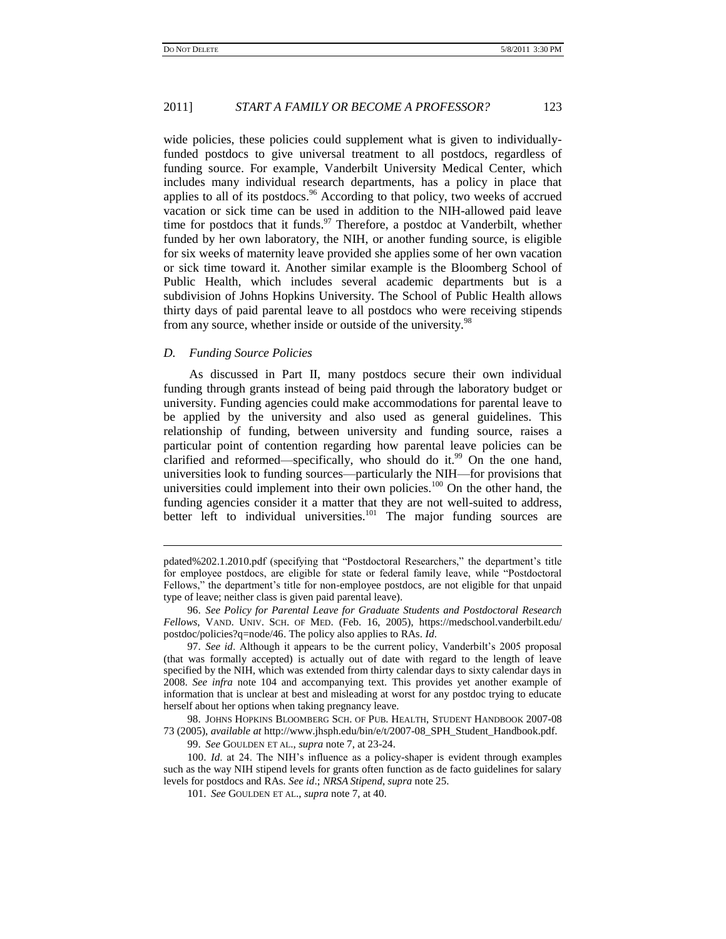wide policies, these policies could supplement what is given to individuallyfunded postdocs to give universal treatment to all postdocs, regardless of funding source. For example, Vanderbilt University Medical Center, which includes many individual research departments, has a policy in place that applies to all of its postdocs. $96$  According to that policy, two weeks of accrued vacation or sick time can be used in addition to the NIH-allowed paid leave time for postdocs that it funds.<sup>97</sup> Therefore, a postdoc at Vanderbilt, whether funded by her own laboratory, the NIH, or another funding source, is eligible for six weeks of maternity leave provided she applies some of her own vacation or sick time toward it. Another similar example is the Bloomberg School of Public Health, which includes several academic departments but is a subdivision of Johns Hopkins University. The School of Public Health allows thirty days of paid parental leave to all postdocs who were receiving stipends from any source, whether inside or outside of the university.<sup>98</sup>

### *D. Funding Source Policies*

 $\overline{a}$ 

As discussed in Part II, many postdocs secure their own individual funding through grants instead of being paid through the laboratory budget or university. Funding agencies could make accommodations for parental leave to be applied by the university and also used as general guidelines. This relationship of funding, between university and funding source, raises a particular point of contention regarding how parental leave policies can be clarified and reformed—specifically, who should do it.<sup>99</sup> On the one hand, universities look to funding sources—particularly the NIH—for provisions that universities could implement into their own policies.<sup>100</sup> On the other hand, the funding agencies consider it a matter that they are not well-suited to address, better left to individual universities.<sup>101</sup> The major funding sources are

97. *See id.* Although it appears to be the current policy, Vanderbilt's 2005 proposal (that was formally accepted) is actually out of date with regard to the length of leave specified by the NIH, which was extended from thirty calendar days to sixty calendar days in 2008. *See infra* note 104 and accompanying text. This provides yet another example of information that is unclear at best and misleading at worst for any postdoc trying to educate herself about her options when taking pregnancy leave.

98. JOHNS HOPKINS BLOOMBERG SCH. OF PUB. HEALTH, STUDENT HANDBOOK 2007-08 73 (2005), *available at* http://www.jhsph.edu/bin/e/t/2007-08\_SPH\_Student\_Handbook.pdf.

99. *See* GOULDEN ET AL., *supra* note 7, at 23-24.

100. *Id*. at 24. The NIH"s influence as a policy-shaper is evident through examples such as the way NIH stipend levels for grants often function as de facto guidelines for salary levels for postdocs and RAs. *See id*.; *NRSA Stipend*, *supra* note 25.

pdated%202.1.2010.pdf (specifying that "Postdoctoral Researchers," the department's title for employee postdocs, are eligible for state or federal family leave, while "Postdoctoral Fellows," the department"s title for non-employee postdocs, are not eligible for that unpaid type of leave; neither class is given paid parental leave).

<sup>96.</sup> *See Policy for Parental Leave for Graduate Students and Postdoctoral Research Fellows*, VAND. UNIV. SCH. OF MED. (Feb. 16, 2005), https://medschool.vanderbilt.edu/ postdoc/policies?q=node/46. The policy also applies to RAs. *Id*.

<sup>101.</sup> *See* GOULDEN ET AL., *supra* note 7, at 40.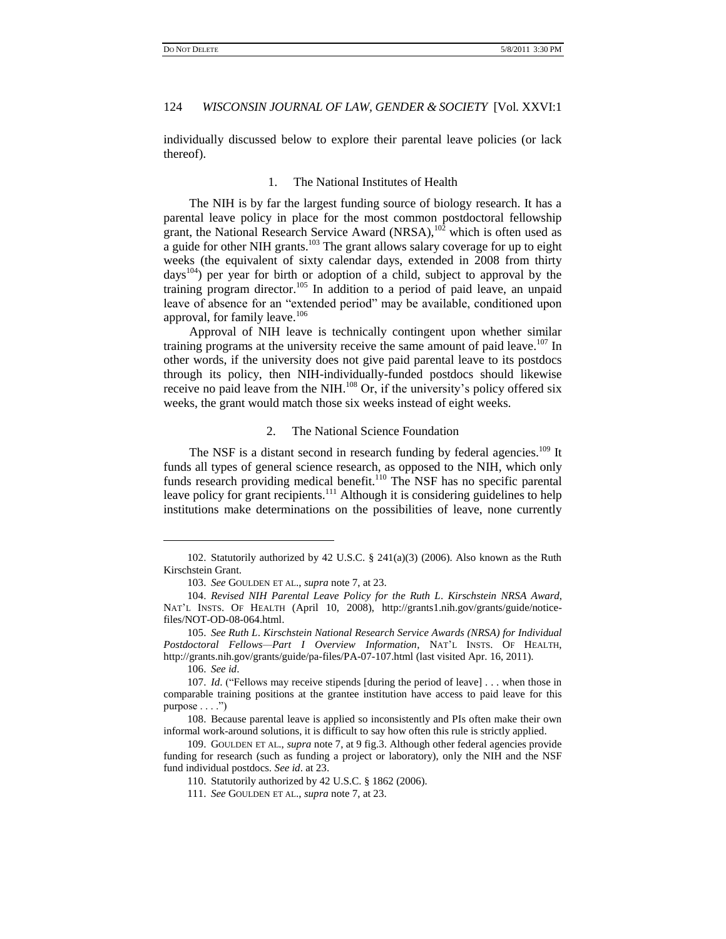individually discussed below to explore their parental leave policies (or lack thereof).

# 1. The National Institutes of Health

The NIH is by far the largest funding source of biology research. It has a parental leave policy in place for the most common postdoctoral fellowship grant, the National Research Service Award (NRSA), $10^{\frac{1}{2}}$  which is often used as a guide for other NIH grants.<sup>103</sup> The grant allows salary coverage for up to eight weeks (the equivalent of sixty calendar days, extended in 2008 from thirty days<sup>104</sup>) per year for birth or adoption of a child, subject to approval by the training program director.<sup>105</sup> In addition to a period of paid leave, an unpaid leave of absence for an "extended period" may be available, conditioned upon approval, for family leave.<sup>106</sup>

Approval of NIH leave is technically contingent upon whether similar training programs at the university receive the same amount of paid leave.<sup>107</sup> In other words, if the university does not give paid parental leave to its postdocs through its policy, then NIH-individually-funded postdocs should likewise receive no paid leave from the NIH. $^{108}$  Or, if the university's policy offered six weeks, the grant would match those six weeks instead of eight weeks.

#### 2. The National Science Foundation

The NSF is a distant second in research funding by federal agencies.<sup>109</sup> It funds all types of general science research, as opposed to the NIH, which only funds research providing medical benefit.<sup>110</sup> The NSF has no specific parental leave policy for grant recipients.<sup>111</sup> Although it is considering guidelines to help institutions make determinations on the possibilities of leave, none currently

106. *See id*.

<sup>102.</sup> Statutorily authorized by 42 U.S.C. § 241(a)(3) (2006). Also known as the Ruth Kirschstein Grant.

<sup>103.</sup> *See* GOULDEN ET AL., *supra* note 7, at 23.

<sup>104.</sup> *Revised NIH Parental Leave Policy for the Ruth L*. *Kirschstein NRSA Award*, NAT'L INSTS. OF HEALTH (April 10, 2008), [http://grants1.nih.gov/grants/guide/notice](http://grants1.nih.gov/grants/guide/notice-files/NOT-OD-08-064.html)[files/NOT-OD-08-064.html.](http://grants1.nih.gov/grants/guide/notice-files/NOT-OD-08-064.html)

<sup>105.</sup> *See Ruth L*. *Kirschstein National Research Service Awards (NRSA) for Individual Postdoctoral Fellows—Part I Overview Information*, NAT"L INSTS. OF HEALTH, http://grants.nih.gov/grants/guide/pa-files/PA-07-107.html (last visited Apr. 16, 2011).

<sup>107.</sup> *Id*. ("Fellows may receive stipends [during the period of leave] . . . when those in comparable training positions at the grantee institution have access to paid leave for this purpose  $\dots$ .")

<sup>108.</sup> Because parental leave is applied so inconsistently and PIs often make their own informal work-around solutions, it is difficult to say how often this rule is strictly applied.

<sup>109.</sup> GOULDEN ET AL., *supra* note 7, at 9 fig.3. Although other federal agencies provide funding for research (such as funding a project or laboratory), only the NIH and the NSF fund individual postdocs. *See id*. at 23.

<sup>110.</sup> Statutorily authorized by 42 U.S.C. § 1862 (2006).

<sup>111.</sup> *See* GOULDEN ET AL., *supra* note 7, at 23.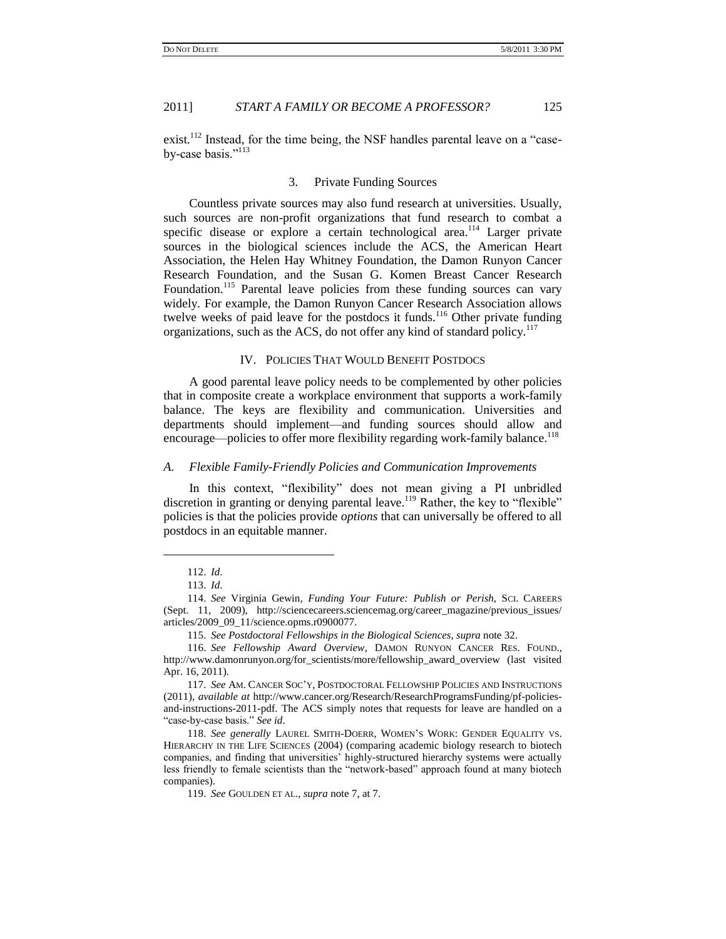exist.<sup>112</sup> Instead, for the time being, the NSF handles parental leave on a "caseby-case basis."<sup>113</sup>

### 3. Private Funding Sources

Countless private sources may also fund research at universities. Usually, such sources are non-profit organizations that fund research to combat a specific disease or explore a certain technological area.<sup>114</sup> Larger private sources in the biological sciences include the ACS, the American Heart Association, the Helen Hay Whitney Foundation, the Damon Runyon Cancer Research Foundation, and the Susan G. Komen Breast Cancer Research Foundation.<sup>115</sup> Parental leave policies from these funding sources can vary widely. For example, the Damon Runyon Cancer Research Association allows twelve weeks of paid leave for the postdocs it funds.<sup>116</sup> Other private funding organizations, such as the ACS, do not offer any kind of standard policy.<sup>117</sup>

# IV. POLICIES THAT WOULD BENEFIT POSTDOCS

A good parental leave policy needs to be complemented by other policies that in composite create a workplace environment that supports a work-family balance. The keys are flexibility and communication. Universities and departments should implement—and funding sources should allow and encourage—policies to offer more flexibility regarding work-family balance.<sup>118</sup>

#### *A. Flexible Family-Friendly Policies and Communication Improvements*

In this context, "flexibility" does not mean giving a PI unbridled discretion in granting or denying parental leave.<sup>119</sup> Rather, the key to "flexible" policies is that the policies provide *options* that can universally be offered to all postdocs in an equitable manner.

<sup>112.</sup> *Id*.

<sup>113.</sup> *Id*.

<sup>114.</sup> *See* Virginia Gewin, *Funding Your Future: Publish or Perish*, SCI. CAREERS (Sept. 11, 2009), http://sciencecareers.sciencemag.org/career\_magazine/previous\_issues/ articles/2009\_09\_11/science.opms.r0900077.

<sup>115.</sup> *See Postdoctoral Fellowships in the Biological Sciences*, *supra* note 32.

<sup>116.</sup> *See Fellowship Award Overview*, DAMON RUNYON CANCER RES. FOUND., http://www.damonrunyon.org/for\_scientists/more/fellowship\_award\_overview (last visited Apr. 16, 2011).

<sup>117.</sup> *See* AM. CANCER SOC"Y, POSTDOCTORAL FELLOWSHIP POLICIES AND INSTRUCTIONS (2011), *available at* http://www.cancer.org/Research/ResearchProgramsFunding/pf-policiesand-instructions-2011-pdf. The ACS simply notes that requests for leave are handled on a "case-by-case basis." *See id*.

<sup>118.</sup> *See generally* LAUREL SMITH-DOERR, WOMEN"S WORK: GENDER EQUALITY VS. HIERARCHY IN THE LIFE SCIENCES (2004) (comparing academic biology research to biotech companies, and finding that universities" highly-structured hierarchy systems were actually less friendly to female scientists than the "network-based" approach found at many biotech companies).

<sup>119.</sup> *See* GOULDEN ET AL., *supra* note 7, at 7.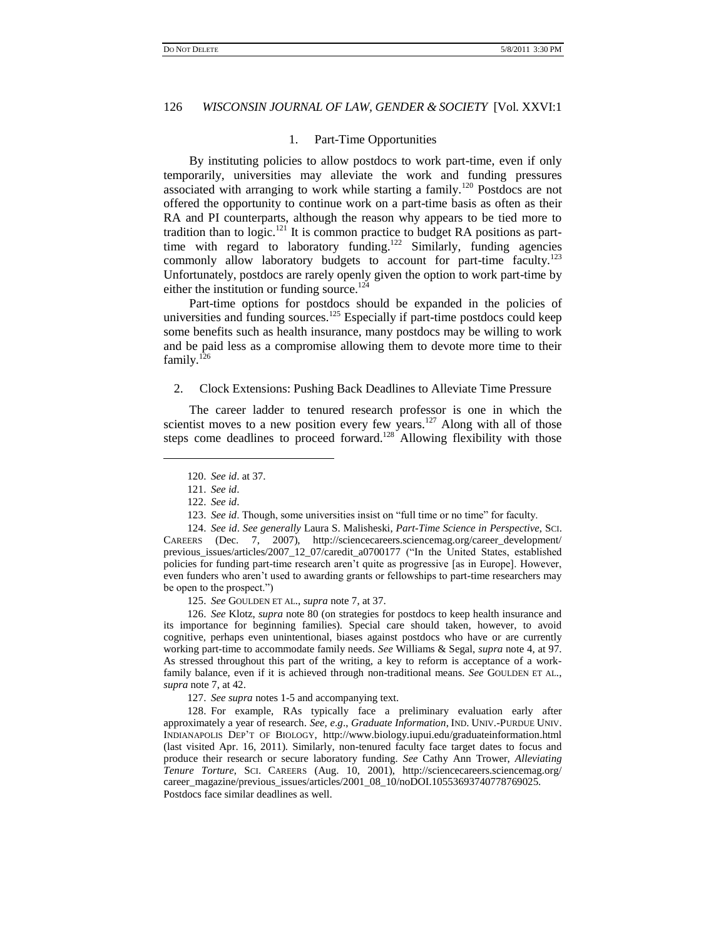#### 1. Part-Time Opportunities

By instituting policies to allow postdocs to work part-time, even if only temporarily, universities may alleviate the work and funding pressures associated with arranging to work while starting a family.<sup>120</sup> Postdocs are not offered the opportunity to continue work on a part-time basis as often as their RA and PI counterparts, although the reason why appears to be tied more to tradition than to logic.<sup>121</sup> It is common practice to budget RA positions as parttime with regard to laboratory funding.<sup>122</sup> Similarly, funding agencies commonly allow laboratory budgets to account for part-time faculty.<sup>123</sup> Unfortunately, postdocs are rarely openly given the option to work part-time by either the institution or funding source.<sup>124</sup>

Part-time options for postdocs should be expanded in the policies of universities and funding sources. $125$  Especially if part-time postdocs could keep some benefits such as health insurance, many postdocs may be willing to work and be paid less as a compromise allowing them to devote more time to their family. $126$ 

#### 2. Clock Extensions: Pushing Back Deadlines to Alleviate Time Pressure

The career ladder to tenured research professor is one in which the scientist moves to a new position every few years.<sup>127</sup> Along with all of those steps come deadlines to proceed forward.<sup>128</sup> Allowing flexibility with those

 $\overline{a}$ 

124. *See id*. *See generally* Laura S[. Malisheski,](http://sciencecareers.sciencemag.org/advanced_search/results?occursin=fulltext&sortedby=relevance&author=Malisheski) *Part-Time Science in Perspective*, SCI. CAREERS (Dec. 7, 2007), http://sciencecareers.sciencemag.org/career\_development/ previous\_issues/articles/2007\_12\_07/caredit\_a0700177 ("In the United States, established policies for funding part-time research aren"t quite as progressive [as in Europe]. However, even funders who aren"t used to awarding grants or fellowships to part-time researchers may be open to the prospect.")

125. *See* GOULDEN ET AL., *supra* note 7, at 37.

126. *See* Klotz, *supra* note 80 (on strategies for postdocs to keep health insurance and its importance for beginning families). Special care should taken, however, to avoid cognitive, perhaps even unintentional, biases against postdocs who have or are currently working part-time to accommodate family needs. *See* Williams & Segal, *supra* note 4, at 97. As stressed throughout this part of the writing, a key to reform is acceptance of a workfamily balance, even if it is achieved through non-traditional means. *See* GOULDEN ET AL., *supra* note 7, at 42.

127. *See supra* notes 1-5 and accompanying text.

128. For example, RAs typically face a preliminary evaluation early after approximately a year of research. *See, e*.*g*., *Graduate Information*, IND. UNIV.-PURDUE UNIV. INDIANAPOLIS DEP"T OF BIOLOGY, http://www.biology.iupui.edu/graduateinformation.html (last visited Apr. 16, 2011). Similarly, non-tenured faculty face target dates to focus and produce their research or secure laboratory funding. *See* Cathy Ann Trower, *Alleviating Tenure Torture*, SCI. CAREERS (Aug. 10, 2001), http://sciencecareers.sciencemag.org/ career\_magazine/previous\_issues/articles/2001\_08\_10/noDOI.10553693740778769025. Postdocs face similar deadlines as well.

<sup>120.</sup> *See id*. at 37.

<sup>121.</sup> *See id*.

<sup>122.</sup> *See id*.

<sup>123.</sup> *See id*. Though, some universities insist on "full time or no time" for faculty.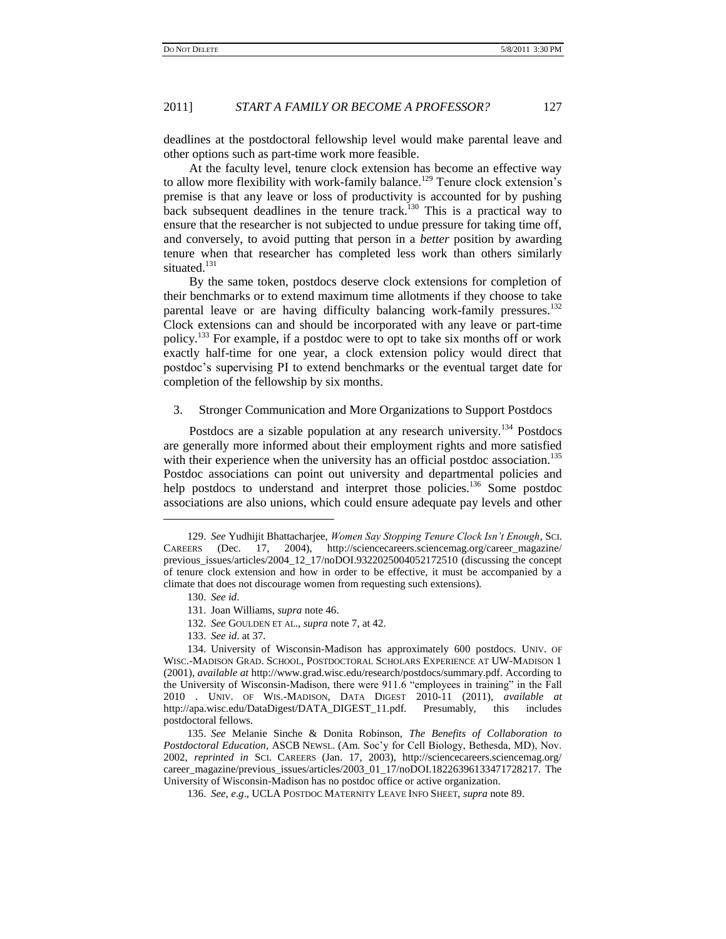deadlines at the postdoctoral fellowship level would make parental leave and other options such as part-time work more feasible.

At the faculty level, tenure clock extension has become an effective way to allow more flexibility with work-family balance.<sup>129</sup> Tenure clock extension's premise is that any leave or loss of productivity is accounted for by pushing back subsequent deadlines in the tenure track.<sup>130</sup> This is a practical way to ensure that the researcher is not subjected to undue pressure for taking time off, and conversely, to avoid putting that person in a *better* position by awarding tenure when that researcher has completed less work than others similarly situated.<sup>131</sup>

By the same token, postdocs deserve clock extensions for completion of their benchmarks or to extend maximum time allotments if they choose to take parental leave or are having difficulty balancing work-family pressures.<sup>132</sup> Clock extensions can and should be incorporated with any leave or part-time policy.<sup>133</sup> For example, if a postdoc were to opt to take six months off or work exactly half-time for one year, a clock extension policy would direct that postdoc"s supervising PI to extend benchmarks or the eventual target date for completion of the fellowship by six months.

# 3. Stronger Communication and More Organizations to Support Postdocs

Postdocs are a sizable population at any research university.<sup>134</sup> Postdocs are generally more informed about their employment rights and more satisfied with their experience when the university has an official postdoc association.<sup>135</sup> Postdoc associations can point out university and departmental policies and help postdocs to understand and interpret those policies.<sup>136</sup> Some postdoc associations are also unions, which could ensure adequate pay levels and other

- 132. *See* GOULDEN ET AL., *supra* note 7, at 42.
- 133. *See id*. at 37.

<sup>129.</sup> *See* Yudhijit Bhattacharjee, *Women Say Stopping Tenure Clock Isn't Enough*, SCI. CAREERS (Dec. 17, 2004), http://sciencecareers.sciencemag.org/career\_magazine/ previous\_issues/articles/2004\_12\_17/noDOI.9322025004052172510 (discussing the concept of tenure clock extension and how in order to be effective, it must be accompanied by a climate that does not discourage women from requesting such extensions).

<sup>130.</sup> *See id*.

<sup>131.</sup> Joan Williams, *supra* note 46.

<sup>134.</sup> University of Wisconsin-Madison has approximately 600 postdocs. UNIV. OF WISC.-MADISON GRAD. SCHOOL, POSTDOCTORAL SCHOLARS EXPERIENCE AT UW-MADISON 1 (2001), *available at* http://www.grad.wisc.edu/research/postdocs/summary.pdf. According to the University of Wisconsin-Madison, there were 911.6 "employees in training" in the Fall 2010 . UNIV. OF WIS.-MADISON, DATA DIGEST 2010-11 (2011), *available at* http://apa.wisc.edu/DataDigest/DATA\_DIGEST\_11.pdf. Presumably, this includes postdoctoral fellows.

<sup>135.</sup> *See* Melanie Sinche & Donita Robinson, *The Benefits of Collaboration to Postdoctoral Education*, ASCB NEWSL. (Am. Soc"y for Cell Biology, Bethesda, MD), Nov. 2002, *reprinted in* SCI. CAREERS (Jan. 17, 2003), http://sciencecareers.sciencemag.org/ career\_magazine/previous\_issues/articles/2003\_01\_17/noDOI.18226396133471728217. The University of Wisconsin-Madison has no postdoc office or active organization.

<sup>136.</sup> *See, e*.*g*., UCLA POSTDOC MATERNITY LEAVE INFO SHEET, *supra* note 89.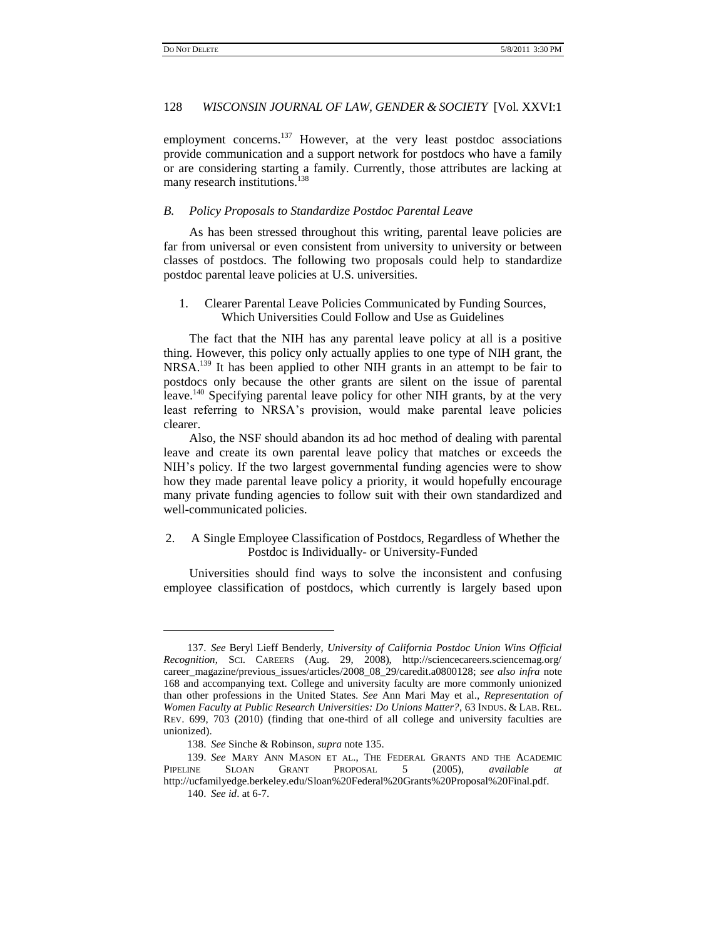employment concerns.<sup>137</sup> However, at the very least postdoc associations provide communication and a support network for postdocs who have a family or are considering starting a family. Currently, those attributes are lacking at many research institutions.<sup>138</sup>

# *B. Policy Proposals to Standardize Postdoc Parental Leave*

As has been stressed throughout this writing, parental leave policies are far from universal or even consistent from university to university or between classes of postdocs. The following two proposals could help to standardize postdoc parental leave policies at U.S. universities.

# 1. Clearer Parental Leave Policies Communicated by Funding Sources, Which Universities Could Follow and Use as Guidelines

The fact that the NIH has any parental leave policy at all is a positive thing. However, this policy only actually applies to one type of NIH grant, the NRSA.<sup>139</sup> It has been applied to other NIH grants in an attempt to be fair to postdocs only because the other grants are silent on the issue of parental leave.<sup>140</sup> Specifying parental leave policy for other NIH grants, by at the very least referring to NRSA"s provision, would make parental leave policies clearer.

Also, the NSF should abandon its ad hoc method of dealing with parental leave and create its own parental leave policy that matches or exceeds the NIH"s policy. If the two largest governmental funding agencies were to show how they made parental leave policy a priority, it would hopefully encourage many private funding agencies to follow suit with their own standardized and well-communicated policies.

# 2. A Single Employee Classification of Postdocs, Regardless of Whether the Postdoc is Individually- or University-Funded

Universities should find ways to solve the inconsistent and confusing employee classification of postdocs, which currently is largely based upon

<sup>137.</sup> *See* Beryl Lieff Benderly, *University of California Postdoc Union Wins Official Recognition*, SCI. CAREERS (Aug. 29, 2008), http://sciencecareers.sciencemag.org/ career\_magazine/previous\_issues/articles/2008\_08\_29/caredit.a0800128; *see also infra* note 168 and accompanying text. College and university faculty are more commonly unionized than other professions in the United States. *See* Ann Mari May et al., *Representation of Women Faculty at Public Research Universities: Do Unions Matter?*, 63 INDUS. & LAB. REL. REV. 699, 703 (2010) (finding that one-third of all college and university faculties are unionized).

<sup>138.</sup> *See* Sinche & Robinson, *supra* note 135.

<sup>139.</sup> *See* MARY ANN MASON ET AL., THE FEDERAL GRANTS AND THE ACADEMIC PIPELINE SLOAN GRANT PROPOSAL 5 (2005), *available* http://ucfamilyedge.berkeley.edu/Sloan%20Federal%20Grants%20Proposal%20Final.pdf.

<sup>140.</sup> *See id*. at 6-7.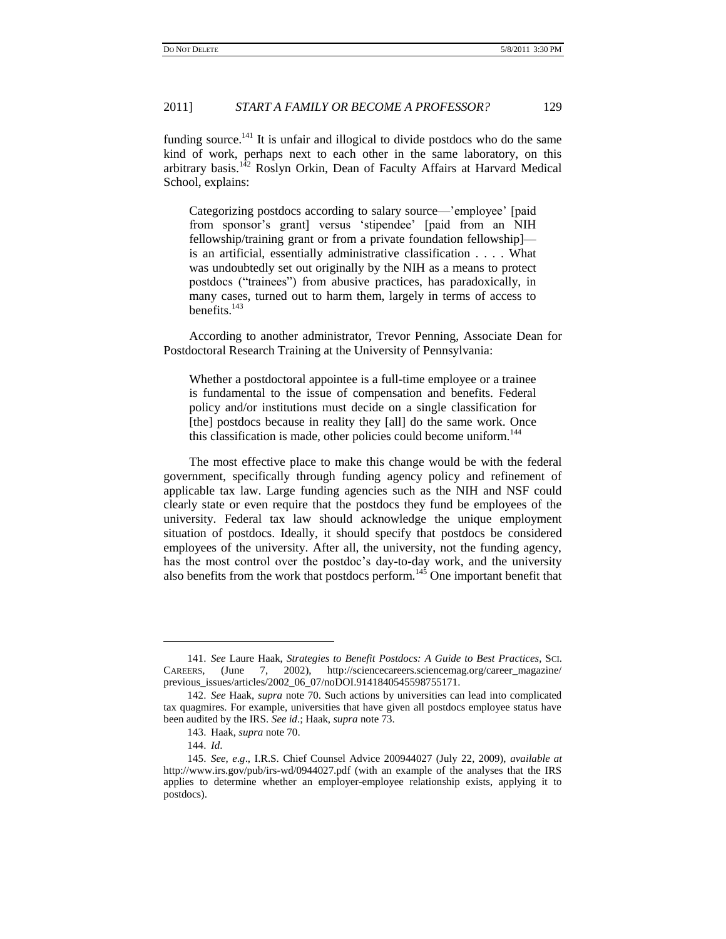funding source.<sup>141</sup> It is unfair and illogical to divide postdocs who do the same kind of work, perhaps next to each other in the same laboratory, on this arbitrary basis.<sup>142</sup> Roslyn Orkin, Dean of Faculty Affairs at Harvard Medical School, explains:

Categorizing postdocs according to salary source—"employee" [paid from sponsor's grant] versus 'stipendee' [paid from an NIH fellowship/training grant or from a private foundation fellowship] is an artificial, essentially administrative classification . . . . What was undoubtedly set out originally by the NIH as a means to protect postdocs ("trainees") from abusive practices, has paradoxically, in many cases, turned out to harm them, largely in terms of access to benefits. $143$ 

According to another administrator, Trevor Penning, Associate Dean for Postdoctoral Research Training at the University of Pennsylvania:

Whether a postdoctoral appointee is a full-time employee or a trainee is fundamental to the issue of compensation and benefits. Federal policy and/or institutions must decide on a single classification for [the] postdocs because in reality they [all] do the same work. Once this classification is made, other policies could become uniform.<sup>144</sup>

The most effective place to make this change would be with the federal government, specifically through funding agency policy and refinement of applicable tax law. Large funding agencies such as the NIH and NSF could clearly state or even require that the postdocs they fund be employees of the university. Federal tax law should acknowledge the unique employment situation of postdocs. Ideally, it should specify that postdocs be considered employees of the university. After all, the university, not the funding agency, has the most control over the postdoc's day-to-day work, and the university also benefits from the work that postdocs perform.<sup>145</sup> One important benefit that

<sup>141.</sup> *See* Laure Haak, *Strategies to Benefit Postdocs: A Guide to Best Practices*, SCI. CAREERS, (June 7, 2002), http://sciencecareers.sciencemag.org/career\_magazine/ previous\_issues/articles/2002\_06\_07/noDOI.9141840545598755171.

<sup>142.</sup> *See* Haak, *supra* note 70. Such actions by universities can lead into complicated tax quagmires. For example, universities that have given all postdocs employee status have been audited by the IRS. *See id*.; Haak, *supra* note 73.

<sup>143.</sup> Haak, *supra* note 70.

<sup>144.</sup> *Id*.

<sup>145.</sup> *See, e*.*g*., I.R.S. Chief Counsel Advice 200944027 (July 22, 2009), *available at* http://www.irs.gov/pub/irs-wd/0944027.pdf (with an example of the analyses that the IRS applies to determine whether an employer-employee relationship exists, applying it to postdocs).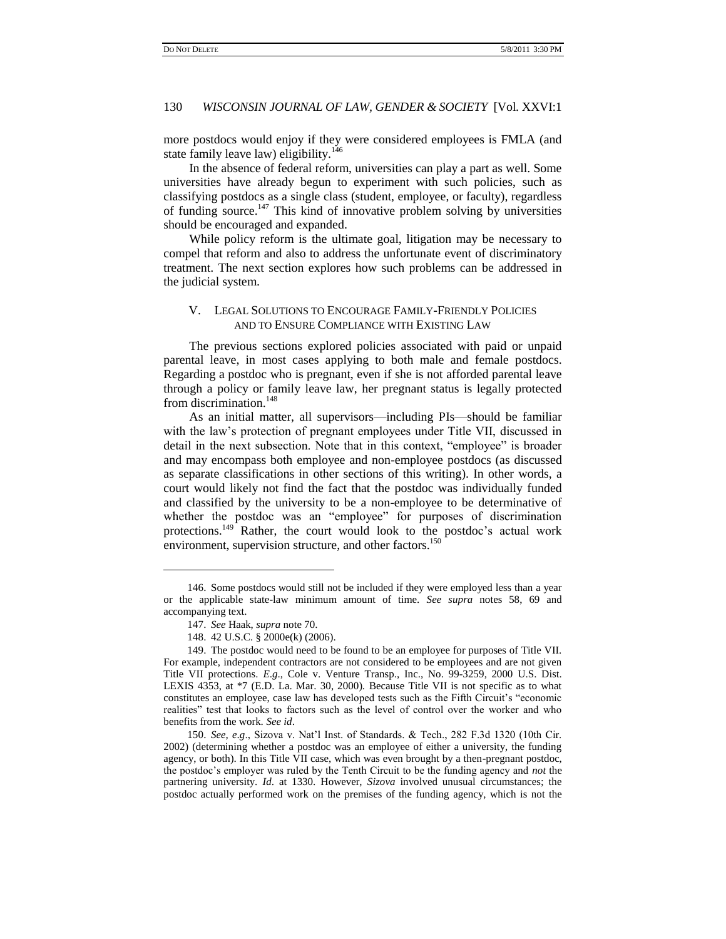more postdocs would enjoy if they were considered employees is FMLA (and state family leave law) eligibility.<sup>146</sup>

In the absence of federal reform, universities can play a part as well. Some universities have already begun to experiment with such policies, such as classifying postdocs as a single class (student, employee, or faculty), regardless of funding source.<sup>147</sup> This kind of innovative problem solving by universities should be encouraged and expanded.

While policy reform is the ultimate goal, litigation may be necessary to compel that reform and also to address the unfortunate event of discriminatory treatment. The next section explores how such problems can be addressed in the judicial system.

# V. LEGAL SOLUTIONS TO ENCOURAGE FAMILY-FRIENDLY POLICIES AND TO ENSURE COMPLIANCE WITH EXISTING LAW

The previous sections explored policies associated with paid or unpaid parental leave, in most cases applying to both male and female postdocs. Regarding a postdoc who is pregnant, even if she is not afforded parental leave through a policy or family leave law, her pregnant status is legally protected from discrimination.<sup>148</sup>

As an initial matter, all supervisors—including PIs—should be familiar with the law"s protection of pregnant employees under Title VII, discussed in detail in the next subsection. Note that in this context, "employee" is broader and may encompass both employee and non-employee postdocs (as discussed as separate classifications in other sections of this writing). In other words, a court would likely not find the fact that the postdoc was individually funded and classified by the university to be a non-employee to be determinative of whether the postdoc was an "employee" for purposes of discrimination protections.<sup>149</sup> Rather, the court would look to the postdoc's actual work environment, supervision structure, and other factors.<sup>150</sup>

<sup>146.</sup> Some postdocs would still not be included if they were employed less than a year or the applicable state-law minimum amount of time. *See supra* notes 58, 69 and accompanying text.

<sup>147.</sup> *See* Haak, *supra* note 70.

<sup>148.</sup> 42 U.S.C. § 2000e(k) (2006).

<sup>149.</sup> The postdoc would need to be found to be an employee for purposes of Title VII. For example, independent contractors are not considered to be employees and are not given Title VII protections. *E*.*g*., Cole v. Venture Transp., Inc., No. 99-3259, 2000 U.S. Dist. LEXIS 4353, at \*7 (E.D. La. Mar. 30, 2000). Because Title VII is not specific as to what constitutes an employee, case law has developed tests such as the Fifth Circuit's "economic realities" test that looks to factors such as the level of control over the worker and who benefits from the work. *See id*.

<sup>150.</sup> *See, e*.*g*., Sizova v. Nat"l Inst. of Standards. & Tech., 282 F.3d 1320 (10th Cir. 2002) (determining whether a postdoc was an employee of either a university, the funding agency, or both). In this Title VII case, which was even brought by a then-pregnant postdoc, the postdoc"s employer was ruled by the Tenth Circuit to be the funding agency and *not* the partnering university. *Id*. at 1330. However, *Sizova* involved unusual circumstances; the postdoc actually performed work on the premises of the funding agency, which is not the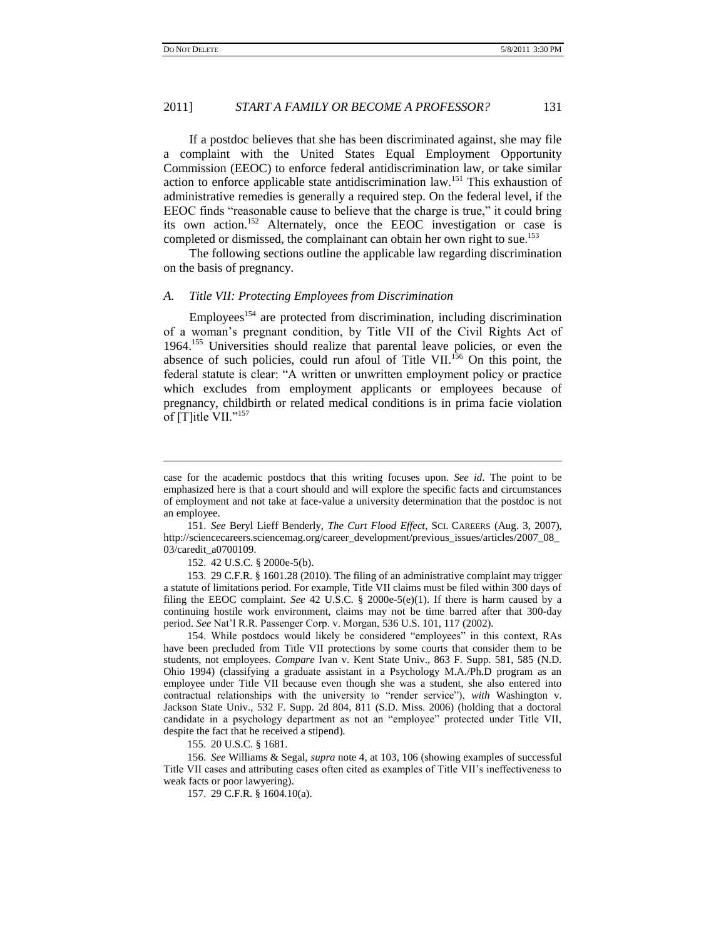$\overline{a}$ 

#### 2011] *START A FAMILY OR BECOME A PROFESSOR?* 131

If a postdoc believes that she has been discriminated against, she may file a complaint with the United States Equal Employment Opportunity Commission (EEOC) to enforce federal antidiscrimination law, or take similar action to enforce applicable state antidiscrimination law.<sup>151</sup> This exhaustion of administrative remedies is generally a required step. On the federal level, if the EEOC finds "reasonable cause to believe that the charge is true," it could bring its own action.<sup>152</sup> Alternately, once the EEOC investigation or case is completed or dismissed, the complainant can obtain her own right to sue.<sup>153</sup>

The following sections outline the applicable law regarding discrimination on the basis of pregnancy.

# *A. Title VII: Protecting Employees from Discrimination*

 $Employees<sup>154</sup>$  are protected from discrimination, including discrimination of a woman"s pregnant condition, by Title VII of the Civil Rights Act of 1964.<sup>155</sup> Universities should realize that parental leave policies, or even the absence of such policies, could run afoul of Title VII.<sup>156</sup> On this point, the federal statute is clear: "A written or unwritten employment policy or practice which excludes from employment applicants or employees because of pregnancy, childbirth or related medical conditions is in prima facie violation of [T]itle VII."<sup>157</sup>

151. *See* Beryl Lieff Benderly, *The Curt Flood Effect*, SCI. CAREERS (Aug. 3, 2007), http://sciencecareers.sciencemag.org/career\_development/previous\_issues/articles/2007\_08\_ 03/caredit\_a0700109.

152. [42 U.S.C. § 2000e-5\(](http://www.lexis.com/research/buttonTFLink?_m=119eee491129e6750a94a98879d7626d&_xfercite=%3ccite%20cc%3d%22USA%22%3e%3c%21%5bCDATA%5b46%20Ala.%20L.%20Rev.%20375%5d%5d%3e%3c%2fcite%3e&_butType=4&_butStat=0&_butNum=778&_butInline=1&_butinfo=42%20USC%202000E-5&_fmtstr=FULL&docnum=4&_startdoc=1&wchp=dGLzVlb-zSkAb&_md5=d3371872d8cc644f64717ba0a2d92239)b).

153. 29 C.F.R. § 1601.28 (2010). The filing of an administrative complaint may trigger a statute of limitations period. For example, Title VII claims must be filed within 300 days of filing the EEOC complaint. *See* 42 U.S.C. § 2000e-5(e)(1). If there is harm caused by a continuing hostile work environment, claims may not be time barred after that 300-day period. *See* Nat"l R.R. Passenger Corp. v. Morgan, 536 U.S. 101, 117 (2002).

154. While postdocs would likely be considered "employees" in this context, RAs have been precluded from Title VII protections by some courts that consider them to be students, not employees. *Compare* Ivan v. Kent State Univ., 863 F. Supp. 581, 585 (N.D. Ohio 1994) (classifying a graduate assistant in a Psychology M.A./Ph.D program as an employee under Title VII because even though she was a student, she also entered into contractual relationships with the university to "render service"), *with* Washington v. Jackson State Univ., 532 F. Supp. 2d 804, 811 (S.D. Miss. 2006) (holding that a doctoral candidate in a psychology department as not an "employee" protected under Title VII, despite the fact that he received a stipend).

155. 20 U.S.C. § 1681.

156. *See* Williams & Segal, *supra* note 4, at 103, 106 (showing examples of successful Title VII cases and attributing cases often cited as examples of Title VII"s ineffectiveness to weak facts or poor lawyering).

157. 29 C.F.R. § 1604.10(a).

case for the academic postdocs that this writing focuses upon. *See id*. The point to be emphasized here is that a court should and will explore the specific facts and circumstances of employment and not take at face-value a university determination that the postdoc is not an employee.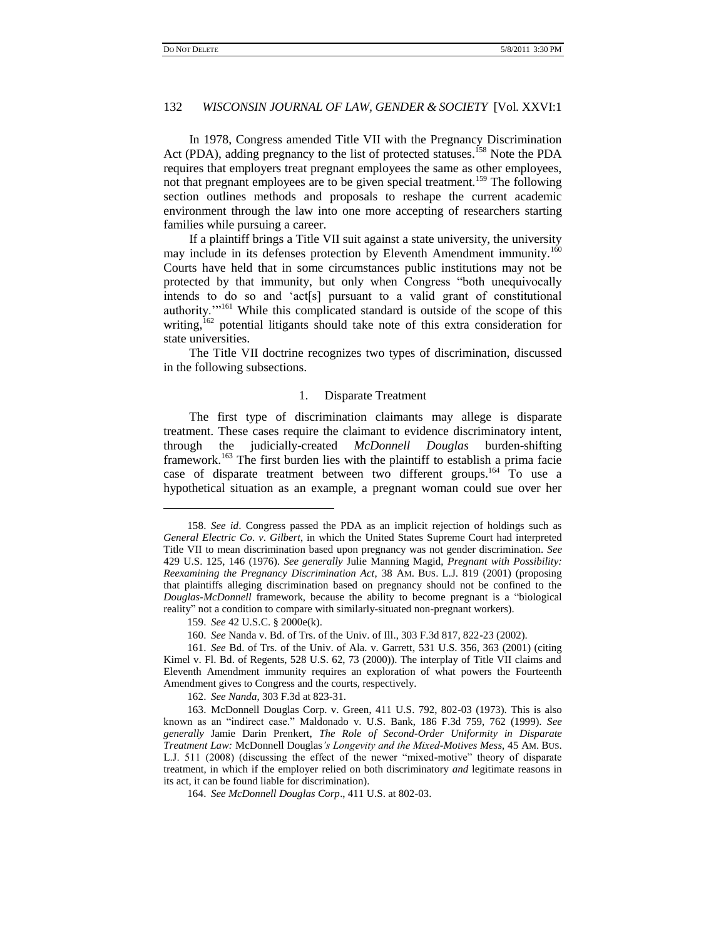In 1978, Congress amended Title VII with the Pregnancy Discrimination Act (PDA), adding pregnancy to the list of protected statuses.<sup>158</sup> Note the PDA requires that employers treat pregnant employees the same as other employees, not that pregnant employees are to be given special treatment.<sup>159</sup> The following section outlines methods and proposals to reshape the current academic environment through the law into one more accepting of researchers starting families while pursuing a career.

If a plaintiff brings a Title VII suit against a state university, the university may include in its defenses protection by Eleventh Amendment immunity.<sup>160</sup> Courts have held that in some circumstances public institutions may not be protected by that immunity, but only when Congress "both unequivocally intends to do so and "act[s] pursuant to a valid grant of constitutional authority."<sup>161</sup> While this complicated standard is outside of the scope of this writing,<sup>162</sup> potential litigants should take note of this extra consideration for state universities.

The Title VII doctrine recognizes two types of discrimination, discussed in the following subsections.

#### 1. Disparate Treatment

The first type of discrimination claimants may allege is disparate treatment. These cases require the claimant to evidence discriminatory intent, through the judicially-created *McDonnell Douglas* burden-shifting framework.<sup>163</sup> The first burden lies with the plaintiff to establish a prima facie case of disparate treatment between two different groups.<sup>164</sup> To use a hypothetical situation as an example, a pregnant woman could sue over her

 $\overline{a}$ 

162. *See Nanda*, 303 F.3d at 823-31.

<sup>158.</sup> *See id*. Congress passed the PDA as an implicit rejection of holdings such as *General Electric Co*. *v*. *Gilbert*, in which the United States Supreme Court had interpreted Title VII to mean discrimination based upon pregnancy was not gender discrimination. *See*  429 U.S. 125, 146 (1976). *See generally* Julie Manning Magid, *Pregnant with Possibility: Reexamining the Pregnancy Discrimination Act*, 38 AM. BUS. L.J. 819 (2001) (proposing that plaintiffs alleging discrimination based on pregnancy should not be confined to the *Douglas-McDonnell* framework, because the ability to become pregnant is a "biological reality" not a condition to compare with similarly-situated non-pregnant workers).

<sup>159.</sup> *See* 42 U.S.C. § 2000e(k).

<sup>160.</sup> *See* Nanda v. Bd. of Trs. of the Univ. of Ill., 303 F.3d 817, 822-23 (2002).

<sup>161.</sup> *See* Bd. of Trs. of the Univ. of Ala. v. Garrett, 531 U.S. 356, 363 (2001) (citing Kimel v. Fl. Bd. of Regents, 528 U.S. 62, 73 (2000)). The interplay of Title VII claims and Eleventh Amendment immunity requires an exploration of what powers the Fourteenth Amendment gives to Congress and the courts, respectively.

<sup>163.</sup> McDonnell Douglas Corp. v. Green, 411 U.S. 792, 802-03 (1973). This is also known as an "indirect case." Maldonado v. U.S. Bank, 186 F.3d 759, 762 (1999). *See generally* Jamie Darin Prenkert, *The Role of Second-Order Uniformity in Disparate Treatment Law:* McDonnell Douglas*'s Longevity and the Mixed-Motives Mess*, 45 AM. BUS. L.J. 511 (2008) (discussing the effect of the newer "mixed-motive" theory of disparate treatment, in which if the employer relied on both discriminatory *and* legitimate reasons in its act, it can be found liable for discrimination).

<sup>164.</sup> *See McDonnell Douglas Corp*., 411 U.S. at 802-03.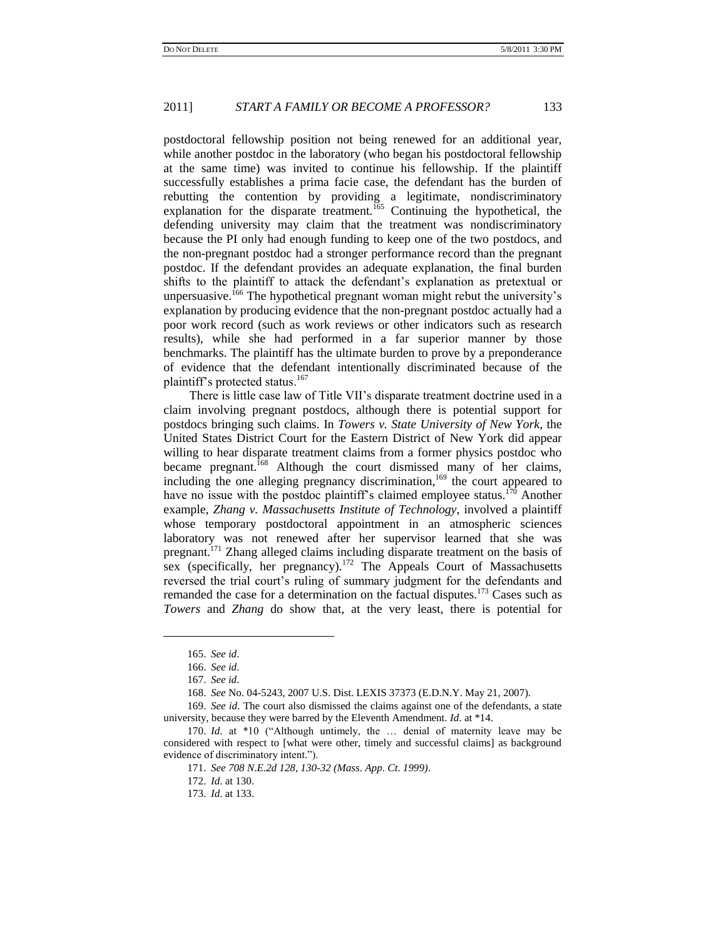postdoctoral fellowship position not being renewed for an additional year, while another postdoc in the laboratory (who began his postdoctoral fellowship at the same time) was invited to continue his fellowship. If the plaintiff successfully establishes a prima facie case, the defendant has the burden of rebutting the contention by providing a legitimate, nondiscriminatory explanation for the disparate treatment.<sup>165</sup> Continuing the hypothetical, the defending university may claim that the treatment was nondiscriminatory because the PI only had enough funding to keep one of the two postdocs, and the non-pregnant postdoc had a stronger performance record than the pregnant postdoc. If the defendant provides an adequate explanation, the final burden shifts to the plaintiff to attack the defendant"s explanation as pretextual or unpersuasive.<sup>166</sup> The hypothetical pregnant woman might rebut the university's explanation by producing evidence that the non-pregnant postdoc actually had a poor work record (such as work reviews or other indicators such as research results), while she had performed in a far superior manner by those benchmarks. The plaintiff has the ultimate burden to prove by a preponderance of evidence that the defendant intentionally discriminated because of the plaintiff's protected status.<sup>167</sup>

There is little case law of Title VII"s disparate treatment doctrine used in a claim involving pregnant postdocs, although there is potential support for postdocs bringing such claims. In *Towers v. State University of New York*, the United States District Court for the Eastern District of New York did appear willing to hear disparate treatment claims from a former physics postdoc who became pregnant.<sup>168</sup> Although the court dismissed many of her claims, including the one alleging pregnancy discrimination,<sup>169</sup> the court appeared to have no issue with the postdoc plaintiff's claimed employee status.<sup>170</sup> Another example, *Zhang v. Massachusetts Institute of Technology*, involved a plaintiff whose temporary postdoctoral appointment in an atmospheric sciences laboratory was not renewed after her supervisor learned that she was pregnant.<sup>171</sup> Zhang alleged claims including disparate treatment on the basis of sex (specifically, her pregnancy).<sup>172</sup> The Appeals Court of Massachusetts reversed the trial court's ruling of summary judgment for the defendants and remanded the case for a determination on the factual disputes.<sup>173</sup> Cases such as *Towers* and *Zhang* do show that, at the very least, there is potential for

<sup>165.</sup> *See id*.

<sup>166.</sup> *See id*.

<sup>167.</sup> *See id*.

<sup>168.</sup> *See* No. 04-5243, 2007 U.S. Dist. LEXIS 37373 (E.D.N.Y. May 21, 2007).

<sup>169.</sup> *See id*. The court also dismissed the claims against one of the defendants, a state university, because they were barred by the Eleventh Amendment. *Id*. at \*14.

<sup>170.</sup> *Id*. at \*10 ("Although untimely, the … denial of maternity leave may be considered with respect to [what were other, timely and successful claims] as background evidence of discriminatory intent.").

<sup>171.</sup> *See 708 N*.*E*.*2d 128, 130-32 (Mass*. *App*. *Ct*. *1999)*.

<sup>172.</sup> *Id*. at 130.

<sup>173.</sup> *Id*. at 133.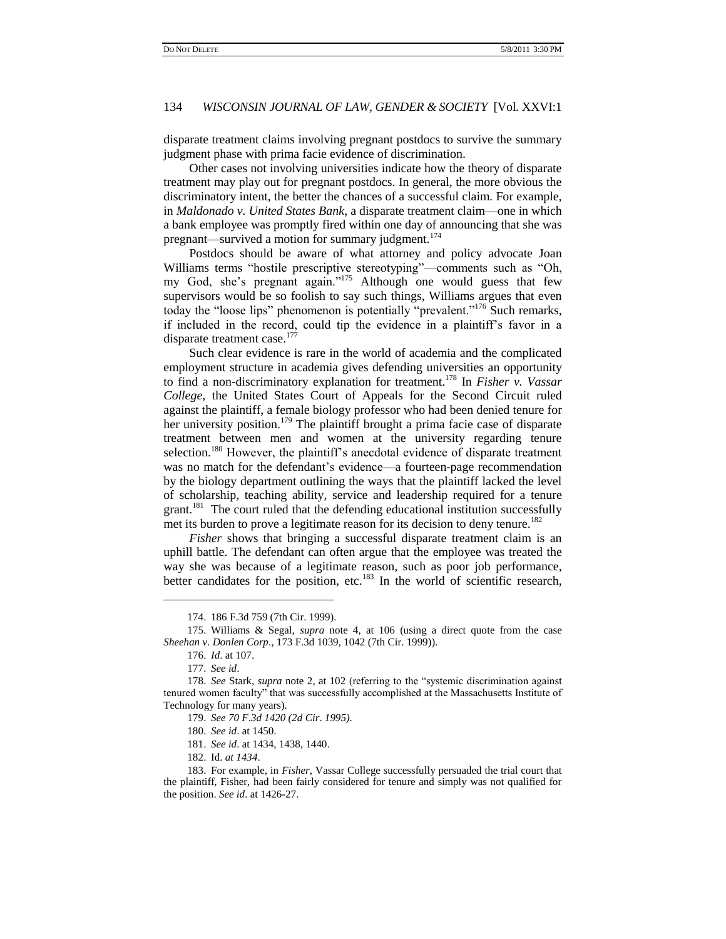disparate treatment claims involving pregnant postdocs to survive the summary judgment phase with prima facie evidence of discrimination.

Other cases not involving universities indicate how the theory of disparate treatment may play out for pregnant postdocs. In general, the more obvious the discriminatory intent, the better the chances of a successful claim. For example, in *Maldonado v. United States Bank*, a disparate treatment claim—one in which a bank employee was promptly fired within one day of announcing that she was pregnant—survived a motion for summary judgment.<sup>174</sup>

Postdocs should be aware of what attorney and policy advocate Joan Williams terms "hostile prescriptive stereotyping"—comments such as "Oh, my God, she's pregnant again."<sup>175</sup> Although one would guess that few supervisors would be so foolish to say such things, Williams argues that even today the "loose lips" phenomenon is potentially "prevalent."<sup>176</sup> Such remarks, if included in the record, could tip the evidence in a plaintiff"s favor in a disparate treatment case.<sup>177</sup>

Such clear evidence is rare in the world of academia and the complicated employment structure in academia gives defending universities an opportunity to find a non-discriminatory explanation for treatment.<sup>178</sup> In *Fisher v. Vassar College,* the United States Court of Appeals for the Second Circuit ruled against the plaintiff, a female biology professor who had been denied tenure for her university position.<sup>179</sup> The plaintiff brought a prima facie case of disparate treatment between men and women at the university regarding tenure selection.<sup>180</sup> However, the plaintiff's anecdotal evidence of disparate treatment was no match for the defendant's evidence—a fourteen-page recommendation by the biology department outlining the ways that the plaintiff lacked the level of scholarship, teaching ability, service and leadership required for a tenure grant.<sup>181</sup> The court ruled that the defending educational institution successfully met its burden to prove a legitimate reason for its decision to deny tenure.<sup>182</sup>

*Fisher* shows that bringing a successful disparate treatment claim is an uphill battle. The defendant can often argue that the employee was treated the way she was because of a legitimate reason, such as poor job performance, better candidates for the position, etc.<sup>183</sup> In the world of scientific research,

 $\overline{a}$ 

181. *See id*. at 1434, 1438, 1440.

182. Id. *at 1434*.

<sup>174.</sup> 186 F.3d 759 (7th Cir. 1999).

<sup>175.</sup> Williams & Segal, *supra* note 4, at 106 (using a direct quote from the case *Sheehan v*. *Donlen Corp*.[, 173 F.3d 1039, 1042 \(7th Cir. 1999\)\).](http://www.lexis.com/research/buttonTFLink?_m=a970d452048a43be6ae7585513aaa3c8&_xfercite=%3ccite%20cc%3d%22USA%22%3e%3c%21%5bCDATA%5b26%20Harv.%20Women%27s%20L.J.%2077%5d%5d%3e%3c%2fcite%3e&_butType=3&_butStat=2&_butNum=653&_butInline=1&_butinfo=%3ccite%20cc%3d%22USA%22%3e%3c%21%5bCDATA%5b173%20F.3d%201039%2cat%201042%5d%5d%3e%3c%2fcite%3e&_fmtstr=FULL&docnum=1&_startdoc=1&wchp=dGLzVzz-zSkAb&_md5=9eaffc6bf0ba25ec2017cce102d82892)

<sup>176.</sup> *Id*. at 107.

<sup>177.</sup> *See id*.

<sup>178.</sup> *See* Stark, *supra* note 2, at 102 (referring to the "systemic discrimination against tenured women faculty" that was successfully accomplished at the Massachusetts Institute of Technology for many years).

<sup>179.</sup> *See 70 F*.*3d 1420 (2d Cir*. *1995)*.

<sup>180.</sup> *See id*. at 1450.

<sup>183.</sup> For example, in *Fisher*, Vassar College successfully persuaded the trial court that the plaintiff, Fisher, had been fairly considered for tenure and simply was not qualified for the position. *See id*. at 1426-27.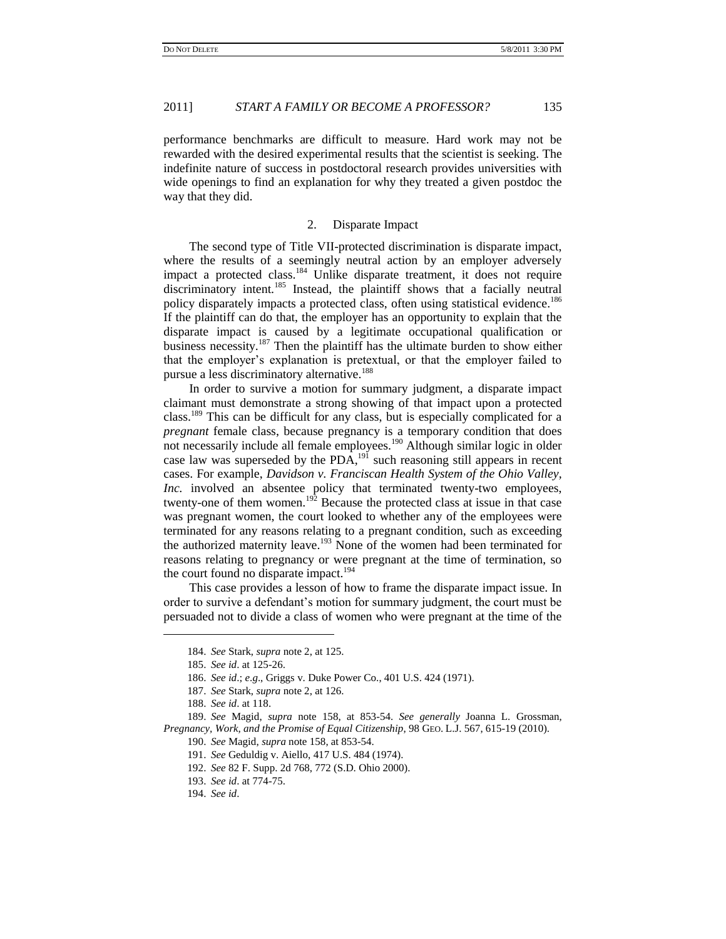performance benchmarks are difficult to measure. Hard work may not be rewarded with the desired experimental results that the scientist is seeking. The indefinite nature of success in postdoctoral research provides universities with wide openings to find an explanation for why they treated a given postdoc the way that they did.

### 2. Disparate Impact

The second type of Title VII-protected discrimination is disparate impact, where the results of a seemingly neutral action by an employer adversely impact a protected class.<sup>184</sup> Unlike disparate treatment, it does not require discriminatory intent.<sup>185</sup> Instead, the plaintiff shows that a facially neutral policy disparately impacts a protected class, often using statistical evidence.<sup>186</sup> If the plaintiff can do that, the employer has an opportunity to explain that the disparate impact is caused by a legitimate occupational qualification or business necessity.<sup>187</sup> Then the plaintiff has the ultimate burden to show either that the employer"s explanation is pretextual, or that the employer failed to pursue a less discriminatory alternative.<sup>188</sup>

In order to survive a motion for summary judgment, a disparate impact claimant must demonstrate a strong showing of that impact upon a protected class.<sup>189</sup> This can be difficult for any class, but is especially complicated for a *pregnant* female class, because pregnancy is a temporary condition that does not necessarily include all female employees.<sup>190</sup> Although similar logic in older case law was superseded by the PDA,<sup>191</sup> such reasoning still appears in recent cases. For example, *Davidson v. Franciscan Health System of the Ohio Valley, Inc.* involved an absentee policy that terminated twenty-two employees, twenty-one of them women.<sup>192</sup> Because the protected class at issue in that case was pregnant women, the court looked to whether any of the employees were terminated for any reasons relating to a pregnant condition, such as exceeding the authorized maternity leave.<sup>193</sup> None of the women had been terminated for reasons relating to pregnancy or were pregnant at the time of termination, so the court found no disparate impact.<sup>194</sup>

This case provides a lesson of how to frame the disparate impact issue. In order to survive a defendant"s motion for summary judgment, the court must be persuaded not to divide a class of women who were pregnant at the time of the

<sup>184.</sup> *See* Stark, *supra* note 2, at 125.

<sup>185.</sup> *See id*. at 125-26.

<sup>186.</sup> *See id*.; *e*.*g*., Griggs v. Duke Power Co., 401 U.S. 424 (1971).

<sup>187.</sup> *See* Stark, *supra* note 2, at 126.

<sup>188.</sup> *See id*. at 118.

<sup>189.</sup> *See* Magid, *supra* note 158, at 853-54. *See generally* Joanna L. Grossman, *Pregnancy, Work, and the Promise of Equal Citizenship*, 98 GEO. L.J. 567, 615-19 (2010).

<sup>190.</sup> *See* Magid, *supra* note 158, at 853-54.

<sup>191.</sup> *See* Geduldig v. Aiello, 417 U.S. 484 (1974).

<sup>192.</sup> *See* 82 F. Supp. 2d 768, 772 (S.D. Ohio 2000).

<sup>193.</sup> *See id*. at 774-75.

<sup>194.</sup> *[See id](http://www.lexis.com/research/buttonTFLink?_m=770f1b15ed54cbd35068ca70fa5180a9&_xfercite=%3ccite%20cc%3d%22USA%22%3e%3c%21%5bCDATA%5b38%20Am.%20Bus.%20L.J.%20819%5d%5d%3e%3c%2fcite%3e&_butType=3&_butStat=2&_butNum=350&_butInline=1&_butinfo=%3ccite%20cc%3d%22USA%22%3e%3c%21%5bCDATA%5b82%20F.%20Supp.%202d%20768%5d%5d%3e%3c%2fcite%3e&_fmtstr=FULL&docnum=8&_startdoc=1&wchp=dGLbVzb-zSkAl&_md5=a684f26574b72e87ea57b629ef0a539f)*.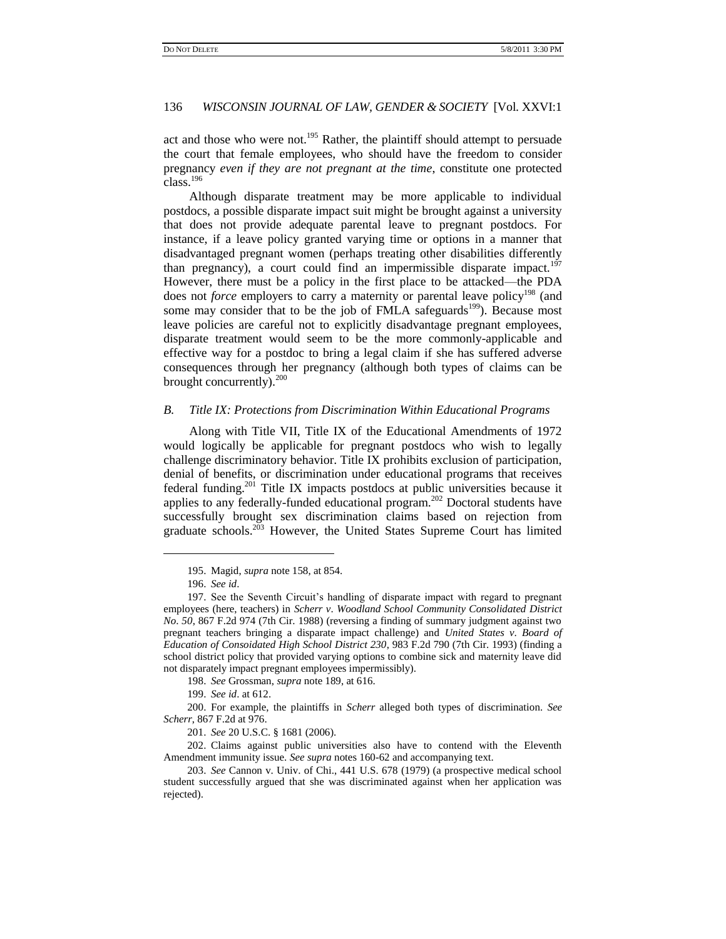act and those who were not.<sup>195</sup> Rather, the plaintiff should attempt to persuade the court that female employees, who should have the freedom to consider pregnancy *even if they are not pregnant at the time*, constitute one protected class.<sup>196</sup>

Although disparate treatment may be more applicable to individual postdocs, a possible disparate impact suit might be brought against a university that does not provide adequate parental leave to pregnant postdocs. For instance, if a leave policy granted varying time or options in a manner that disadvantaged pregnant women (perhaps treating other disabilities differently than pregnancy), a court could find an impermissible disparate impact.<sup>197</sup> However, there must be a policy in the first place to be attacked—the PDA does not *force* employers to carry a maternity or parental leave policy<sup>198</sup> (and some may consider that to be the job of FMLA safeguards<sup>199</sup>). Because most leave policies are careful not to explicitly disadvantage pregnant employees, disparate treatment would seem to be the more commonly-applicable and effective way for a postdoc to bring a legal claim if she has suffered adverse consequences through her pregnancy (although both types of claims can be brought concurrently). $200$ 

# *B. Title IX: Protections from Discrimination Within Educational Programs*

Along with Title VII, Title IX of the Educational Amendments of 1972 would logically be applicable for pregnant postdocs who wish to legally challenge discriminatory behavior. Title IX prohibits exclusion of participation, denial of benefits, or discrimination under educational programs that receives federal funding.<sup>201</sup> Title IX impacts postdocs at public universities because it applies to any federally-funded educational program.<sup>202</sup> Doctoral students have successfully brought sex discrimination claims based on rejection from graduate schools. $2^{03}$  However, the United States Supreme Court has limited

 $\overline{a}$ 

198. *See* Grossman, *supra* note 189, at 616.

199. *See id*. at 612.

200. For example, the plaintiffs in *Scherr* alleged both types of discrimination. *See Scherr*, 867 F.2d at 976.

201. *See* [20 U.S.C.](http://en.wikipedia.org/wiki/Title_20_of_the_United_States_Code) § [1681](http://www.law.cornell.edu/uscode/20/1681.html) (2006).

202. Claims against public universities also have to contend with the Eleventh Amendment immunity issue. *See supra* notes 160-62 and accompanying text.

203. *See* Cannon v. Univ. of Chi., 441 U.S. 678 (1979) (a prospective medical school student successfully argued that she was discriminated against when her application was rejected).

<sup>195.</sup> Magid, *supra* note 158, at 854.

<sup>196.</sup> *See id*.

<sup>197.</sup> See the Seventh Circuit"s handling of disparate impact with regard to pregnant employees (here, teachers) in *Scherr v*. *Woodland School Community Consolidated District No*. *50*, 867 F.2d 974 (7th Cir. 1988) (reversing a finding of summary judgment against two pregnant teachers bringing a disparate impact challenge) and *United States v*. *Board of Education of Consoidated High School District 230*, 983 F.2d 790 (7th Cir. 1993) (finding a school district policy that provided varying options to combine sick and maternity leave did not disparately impact pregnant employees impermissibly).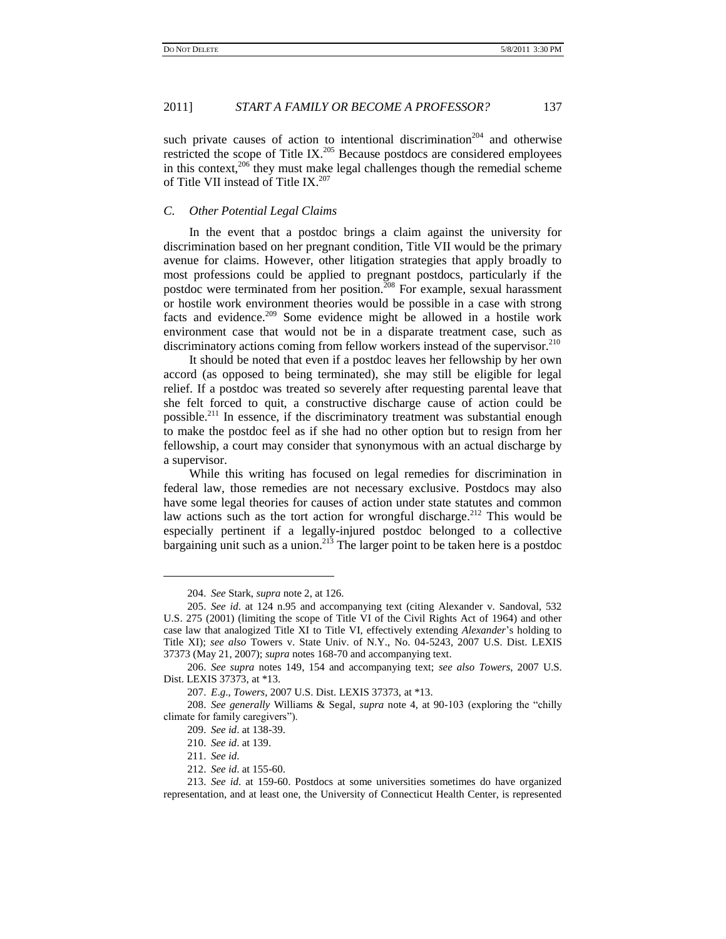such private causes of action to intentional discrimination<sup>204</sup> and otherwise restricted the scope of Title IX. $205$  Because postdocs are considered employees in this context, $206$  they must make legal challenges though the remedial scheme of Title VII instead of Title IX.<sup>207</sup>

### *C. Other Potential Legal Claims*

In the event that a postdoc brings a claim against the university for discrimination based on her pregnant condition, Title VII would be the primary avenue for claims. However, other litigation strategies that apply broadly to most professions could be applied to pregnant postdocs, particularly if the postdoc were terminated from her position.<sup>208</sup> For example, sexual harassment or hostile work environment theories would be possible in a case with strong facts and evidence.<sup>209</sup> Some evidence might be allowed in a hostile work environment case that would not be in a disparate treatment case, such as discriminatory actions coming from fellow workers instead of the supervisor.<sup>210</sup>

It should be noted that even if a postdoc leaves her fellowship by her own accord (as opposed to being terminated), she may still be eligible for legal relief. If a postdoc was treated so severely after requesting parental leave that she felt forced to quit, a constructive discharge cause of action could be possible.<sup>211</sup> In essence, if the discriminatory treatment was substantial enough to make the postdoc feel as if she had no other option but to resign from her fellowship, a court may consider that synonymous with an actual discharge by a supervisor.

While this writing has focused on legal remedies for discrimination in federal law, those remedies are not necessary exclusive. Postdocs may also have some legal theories for causes of action under state statutes and common law actions such as the tort action for wrongful discharge.<sup>212</sup> This would be especially pertinent if a legally-injured postdoc belonged to a collective bargaining unit such as a union.<sup>213</sup> The larger point to be taken here is a postdoc

<sup>204.</sup> *See* Stark, *supra* note 2, at 126.

<sup>205.</sup> *See id*. at 124 n.95 and accompanying text (citing Alexander v. Sandoval, 532 U.S. 275 (2001) (limiting the scope of Title VI of the Civil Rights Act of 1964) and other case law that analogized Title XI to Title VI, effectively extending *Alexander*"s holding to Title XI); *see also* Towers v. State Univ. of N.Y., No. 04-5243, 2007 U.S. Dist. LEXIS 37373 (May 21, 2007); *supra* notes 168-70 and accompanying text.

<sup>206.</sup> *See supra* notes 149, 154 and accompanying text; *see also Towers*, 2007 U.S. Dist. LEXIS 37373, at \*13.

<sup>207.</sup> *E*.*g*., *Towers*, 2007 U.S. Dist. LEXIS 37373, at \*13.

<sup>208.</sup> *See generally* Williams & Segal, *supra* note 4, at 90-103 (exploring the "chilly climate for family caregivers").

<sup>209.</sup> *See id*. at 138-39.

<sup>210.</sup> *See id*. at 139.

<sup>211.</sup> *See id*.

<sup>212.</sup> *See id*. at 155-60.

<sup>213.</sup> *See id*. at 159-60. Postdocs at some universities sometimes do have organized representation, and at least one, the University of Connecticut Health Center, is represented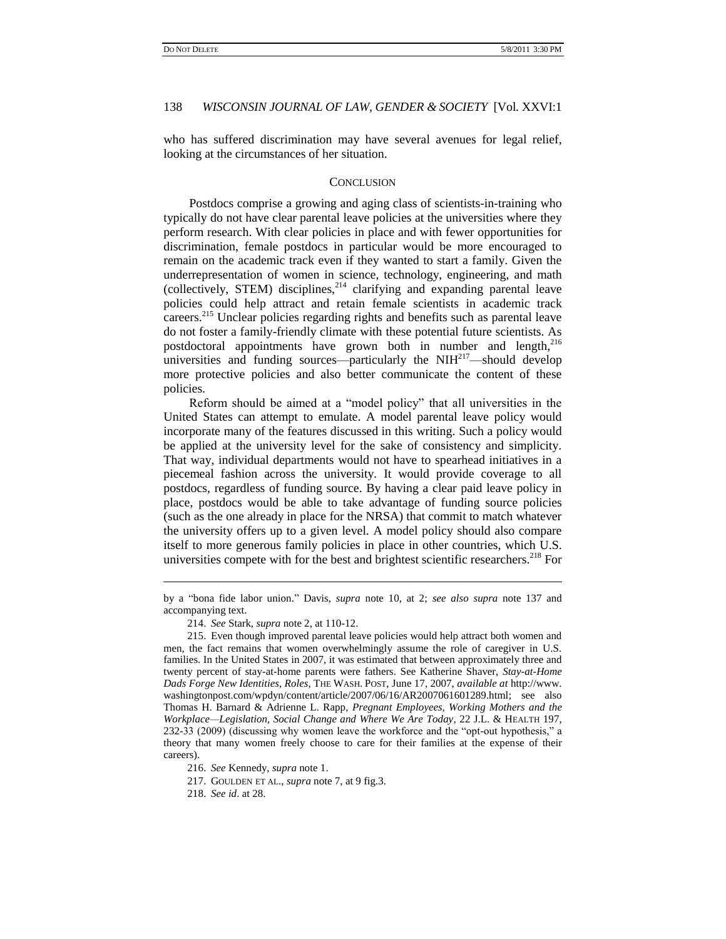who has suffered discrimination may have several avenues for legal relief, looking at the circumstances of her situation.

#### **CONCLUSION**

Postdocs comprise a growing and aging class of scientists-in-training who typically do not have clear parental leave policies at the universities where they perform research. With clear policies in place and with fewer opportunities for discrimination, female postdocs in particular would be more encouraged to remain on the academic track even if they wanted to start a family. Given the underrepresentation of women in science, technology, engineering, and math (collectively, STEM) disciplines,<sup>214</sup> clarifying and expanding parental leave policies could help attract and retain female scientists in academic track careers.<sup>215</sup> Unclear policies regarding rights and benefits such as parental leave do not foster a family-friendly climate with these potential future scientists. As postdoctoral appointments have grown both in number and length,<sup>216</sup> universities and funding sources—particularly the  $NH<sup>217</sup>$ —should develop more protective policies and also better communicate the content of these policies.

Reform should be aimed at a "model policy" that all universities in the United States can attempt to emulate. A model parental leave policy would incorporate many of the features discussed in this writing. Such a policy would be applied at the university level for the sake of consistency and simplicity. That way, individual departments would not have to spearhead initiatives in a piecemeal fashion across the university. It would provide coverage to all postdocs, regardless of funding source. By having a clear paid leave policy in place, postdocs would be able to take advantage of funding source policies (such as the one already in place for the NRSA) that commit to match whatever the university offers up to a given level. A model policy should also compare itself to more generous family policies in place in other countries, which U.S. universities compete with for the best and brightest scientific researchers.<sup>218</sup> For

by a "bona fide labor union." Davis, *supra* note 10, at 2; *see also supra* note 137 and accompanying text.

<sup>214.</sup> *See* Stark, *supra* note 2, at 110-12.

<sup>215.</sup> Even though improved parental leave policies would help attract both women and men, the fact remains that women overwhelmingly assume the role of caregiver in U.S. families. In the United States in 2007, it was estimated that between approximately three and twenty percent of stay-at-home parents were fathers. See Katherine Shaver, *Stay-at-Home Dads Forge New Identities, Roles*, THE WASH. POST, June 17, 2007, *available at* http://www. washingtonpost.com/wpdyn/content/article/2007/06/16/AR2007061601289.html; see also Thomas H. Barnard & Adrienne L. Rapp, *Pregnant Employees, Working Mothers and the Workplace—Legislation, Social Change and Where We Are Today*, 22 J.L. & HEALTH 197, 232-33 (2009) (discussing why women leave the workforce and the "opt-out hypothesis," a theory that many women freely choose to care for their families at the expense of their careers).

<sup>216.</sup> *See* Kennedy, *supra* note 1.

<sup>217.</sup> GOULDEN ET AL., *supra* note 7, at 9 fig.3.

<sup>218.</sup> *See id*. at 28.